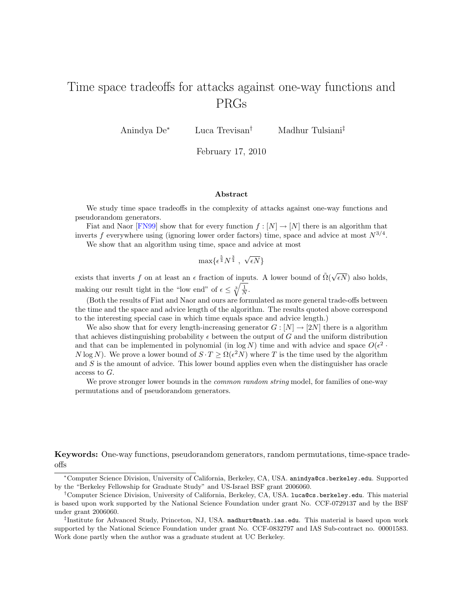# <span id="page-0-0"></span>Time space tradeoffs for attacks against one-way functions and PRGs

Anindya De<sup>∗</sup> Luca Trevisan† Madhur Tulsiani‡

February 17, 2010

#### Abstract

We study time space tradeoffs in the complexity of attacks against one-way functions and pseudorandom generators.

Fiat and Naor [\[FN99\]](#page-36-0) show that for every function  $f : [N] \to [N]$  there is an algorithm that inverts f everywhere using (ignoring lower order factors) time, space and advice at most  $N^{3/4}$ .

We show that an algorithm using time, space and advice at most

$$
\max\{\epsilon^{\frac{5}{4}}N^{\frac{3}{4}}\ ,\ \sqrt{\epsilon N}\}
$$

exists that inverts f on at least an  $\epsilon$  fraction of inputs. A lower bound of  $\tilde{\Omega}(\sqrt{\epsilon})$  $\epsilon N$ ) also holds, making our result tight in the "low end" of  $\epsilon \leq \sqrt[3]{\frac{1}{N}}$ .

(Both the results of Fiat and Naor and ours are formulated as more general trade-offs between the time and the space and advice length of the algorithm. The results quoted above correspond to the interesting special case in which time equals space and advice length.)

We also show that for every length-increasing generator  $G : [N] \to [2N]$  there is a algorithm that achieves distinguishing probability  $\epsilon$  between the output of G and the uniform distribution and that can be implemented in polynomial (in  $\log N$ ) time and with advice and space  $O(\epsilon^2 \cdot$ N log N). We prove a lower bound of  $S \cdot T \ge \Omega(\epsilon^2 N)$  where T is the time used by the algorithm and  $S$  is the amount of advice. This lower bound applies even when the distinguisher has oracle access to G.

We prove stronger lower bounds in the *common random string* model, for families of one-way permutations and of pseudorandom generators.

Keywords: One-way functions, pseudorandom generators, random permutations, time-space tradeoffs

<sup>∗</sup>Computer Science Division, University of California, Berkeley, CA, USA. anindya@cs.berkeley.edu. Supported by the "Berkeley Fellowship for Graduate Study" and US-Israel BSF grant 2006060.

<sup>†</sup>Computer Science Division, University of California, Berkeley, CA, USA. luca@cs.berkeley.edu. This material is based upon work supported by the National Science Foundation under grant No. CCF-0729137 and by the BSF under grant 2006060.

<sup>‡</sup> Institute for Advanced Study, Princeton, NJ, USA. madhurt@math.ias.edu. This material is based upon work supported by the National Science Foundation under grant No. CCF-0832797 and IAS Sub-contract no. 00001583. Work done partly when the author was a graduate student at UC Berkeley.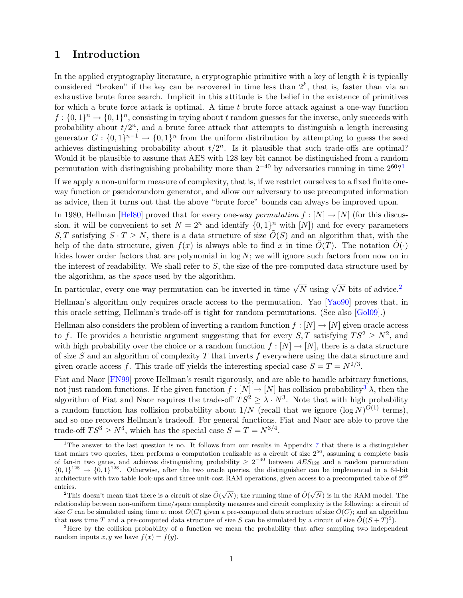## 1 Introduction

In the applied cryptography literature, a cryptographic primitive with a key of length  $k$  is typically considered "broken" if the key can be recovered in time less than  $2^k$ , that is, faster than via an exhaustive brute force search. Implicit in this attitude is the belief in the existence of primitives for which a brute force attack is optimal. A time  $t$  brute force attack against a one-way function  $f: \{0,1\}^n \to \{0,1\}^n$ , consisting in trying about t random guesses for the inverse, only succeeds with probability about  $t/2^n$ , and a brute force attack that attempts to distinguish a length increasing generator  $G: \{0,1\}^{n-1} \to \{0,1\}^n$  from the uniform distribution by attempting to guess the seed achieves distinguishing probability about  $t/2^n$ . Is it plausible that such trade-offs are optimal? Would it be plausible to assume that AES with 128 key bit cannot be distinguished from a random permutation with distinguishing probability more than  $2^{-40}$  by adversaries running in time  $2^{60}$ ?

If we apply a non-uniform measure of complexity, that is, if we restrict ourselves to a fixed finite oneway function or pseudorandom generator, and allow our adversary to use precomputed information as advice, then it turns out that the above "brute force" bounds can always be improved upon.

In 1980, Hellman [\[Hel80\]](#page-37-0) proved that for every one-way *permutation*  $f : [N] \to [N]$  (for this discussion, it will be convenient to set  $N = 2^n$  and identify  $\{0, 1\}^n$  with  $[N]$  and for every parameters S, T satisfying  $S \cdot T \geq N$ , there is a data structure of size  $\tilde{O}(S)$  and an algorithm that, with the help of the data structure, given  $f(x)$  is always able to find x in time  $\tilde{O}(T)$ . The notation  $\tilde{O}(\cdot)$ hides lower order factors that are polynomial in  $\log N$ ; we will ignore such factors from now on in the interest of readability. We shall refer to  $S$ , the size of the pre-computed data structure used by the algorithm, as the space used by the algorithm.

In particular, every one-way permutation can be inverted in time  $\sqrt{N}$  using  $\sqrt{N}$  bits of advice.<sup>[2](#page-1-1)</sup>

Hellman's algorithm only requires oracle access to the permutation. Yao [\[Yao90\]](#page-37-1) proves that, in this oracle setting, Hellman's trade-off is tight for random permutations. (See also [\[Gol09\]](#page-36-1).)

Hellman also considers the problem of inverting a random function  $f : [N] \to [N]$  given oracle access to f. He provides a heuristic argument suggesting that for every  $S, T$  satisfying  $TS^2 \geq N^2$ , and with high probability over the choice or a random function  $f : [N] \to [N]$ , there is a data structure of size S and an algorithm of complexity T that inverts f everywhere using the data structure and given oracle access f. This trade-off yields the interesting special case  $S = T = N^{2/3}$ .

Fiat and Naor [\[FN99\]](#page-36-0) prove Hellman's result rigorously, and are able to handle arbitrary functions. not just random functions. If the given function  $f : [N] \to [N]$  has collision probability<sup>[3](#page-1-2)</sup>  $\lambda$ , then the algorithm of Fiat and Naor requires the trade-off  $TS^2 \geq \lambda \cdot N^3$ . Note that with high probability a random function has collision probability about  $1/N$  (recall that we ignore  $(\log N)^{O(1)}$  terms), and so one recovers Hellman's tradeoff. For general functions, Fiat and Naor are able to prove the trade-off  $TS^3 \geq N^3$ , which has the special case  $S = T = N^{3/4}$ .

<span id="page-1-0"></span><sup>&</sup>lt;sup>1</sup>The answer to the last question is no. It follows from our results in Appendix [7](#page-24-0) that there is a distinguisher that makes two queries, then performs a computation realizable as a circuit of size 2<sup>56</sup>, assuming a complete basis of fan-in two gates, and achieves distinguishing probability  $\geq 2^{-40}$  between  $AES_{128}$  and a random permutation  $\{0,1\}^{128} \rightarrow \{0,1\}^{128}$ . Otherwise, after the two oracle queries, the distinguisher can be implemented in a 64-bit architecture with two table look-ups and three unit-cost RAM operations, given access to a precomputed table of  $2^{49}$ entries.

<span id="page-1-1"></span><sup>&</sup>lt;sup>2</sup>This doesn't mean that there is a circuit of size  $\tilde{O}(\sqrt{N})$ ; the running time of  $\tilde{O}(\sqrt{N})$  is in the RAM model. The relationship between non-uniform time/space complexity measures and circuit complexity is the following: a circuit of size C can be simulated using time at most  $O(C)$  given a pre-computed data structure of size  $O(C)$ ; and an algorithm that uses time T and a pre-computed data structure of size S can be simulated by a circuit of size  $\tilde{O}((S+T)^2)$ .

<span id="page-1-2"></span><sup>&</sup>lt;sup>3</sup>Here by the collision probability of a function we mean the probability that after sampling two independent random inputs x, y we have  $f(x) = f(y)$ .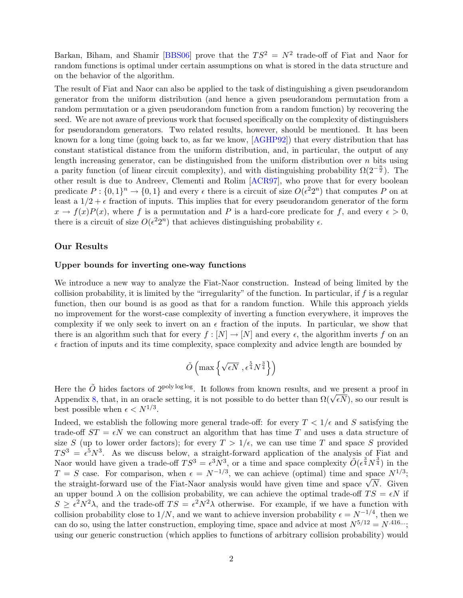<span id="page-2-0"></span>Barkan, Biham, and Shamir [\[BBS06\]](#page-36-2) prove that the  $TS^2 = N^2$  trade-off of Fiat and Naor for random functions is optimal under certain assumptions on what is stored in the data structure and on the behavior of the algorithm.

The result of Fiat and Naor can also be applied to the task of distinguishing a given pseudorandom generator from the uniform distribution (and hence a given pseudorandom permutation from a random permutation or a given pseudorandom function from a random function) by recovering the seed. We are not aware of previous work that focused specifically on the complexity of distinguishers for pseudorandom generators. Two related results, however, should be mentioned. It has been known for a long time (going back to, as far we know, [\[AGHP92\]](#page-36-3)) that every distribution that has constant statistical distance from the uniform distribution, and, in particular, the output of any length increasing generator, can be distinguished from the uniform distribution over  $n$  bits using a parity function (of linear circuit complexity), and with distinguishing probability  $\Omega(2^{-\frac{n}{2}})$ . The other result is due to Andreev, Clementi and Rolim [\[ACR97\]](#page-36-4), who prove that for every boolean predicate  $P: \{0,1\}^n \to \{0,1\}$  and every  $\epsilon$  there is a circuit of size  $O(\epsilon^2 2^n)$  that computes P on at least a  $1/2 + \epsilon$  fraction of inputs. This implies that for every pseudorandom generator of the form  $x \to f(x)P(x)$ , where f is a permutation and P is a hard-core predicate for f, and every  $\epsilon > 0$ , there is a circuit of size  $O(\epsilon^2 2^n)$  that achieves distinguishing probability  $\epsilon$ .

#### Our Results

#### Upper bounds for inverting one-way functions

We introduce a new way to analyze the Fiat-Naor construction. Instead of being limited by the collision probability, it is limited by the "irregularity" of the function. In particular, if  $f$  is a regular function, then our bound is as good as that for a random function. While this approach yields no improvement for the worst-case complexity of inverting a function everywhere, it improves the complexity if we only seek to invert on an  $\epsilon$  fraction of the inputs. In particular, we show that there is an algorithm such that for every  $f : [N] \to [N]$  and every  $\epsilon$ , the algorithm inverts f on an  $\epsilon$  fraction of inputs and its time complexity, space complexity and advice length are bounded by

$$
\tilde{O}\left(\max\left\{\sqrt{\epsilon N}\,\,,\epsilon^{\frac{5}{4}}N^{\frac{3}{4}}\right\}\right)
$$

Here the  $\tilde{O}$  hides factors of 2<sup>poly log log</sup>. It follows from known results, and we present a proof in Here the O mass factors of  $2^{p \times q}$  as  $\infty$ . It follows from known results, and we present a proof in Appendix [8,](#page-28-0) that, in an oracle setting, it is not possible to do better than  $\Omega(\sqrt{\epsilon N})$ , so our result is best possible when  $\epsilon < N^{1/3}$ .

Indeed, we establish the following more general trade-off: for every  $T < 1/\epsilon$  and S satisfying the trade-off  $ST = \epsilon N$  we can construct an algorithm that has time T and uses a data structure of size S (up to lower order factors); for every  $T > 1/\epsilon$ , we can use time T and space S provided  $TS^3 = \epsilon^5 N^3$ . As we discuss below, a straight-forward application of the analysis of Fiat and Naor would have given a trade-off  $TS^3 = \epsilon^3 N^3$ , or a time and space complexity  $\tilde{O}(\epsilon^{\frac{3}{4}} N^{\frac{3}{4}})$  in the  $T = S$  case. For comparison, when  $\epsilon = N^{-1/3}$ , we can achieve (optimal) time and space  $N^{1/3}$ ;  $t = S$  case. For comparison, when  $\epsilon = N^{-\gamma}$ , we can achieve (optimal) time and space  $N^{-\gamma}$ ;<br>the straight-forward use of the Fiat-Naor analysis would have given time and space  $\sqrt{N}$ . Given an upper bound  $\lambda$  on the collision probability, we can achieve the optimal trade-off  $TS = \epsilon N$  if  $S \geq \epsilon^2 N^2 \lambda$ , and the trade-off  $TS = \epsilon^2 N^2 \lambda$  otherwise. For example, if we have a function with collision probability close to  $1/N$ , and we want to achieve inversion probability  $\epsilon = N^{-1/4}$ , then we can do so, using the latter construction, employing time, space and advice at most  $N^{5/12} = N^{.416}$ ...; using our generic construction (which applies to functions of arbitrary collision probability) would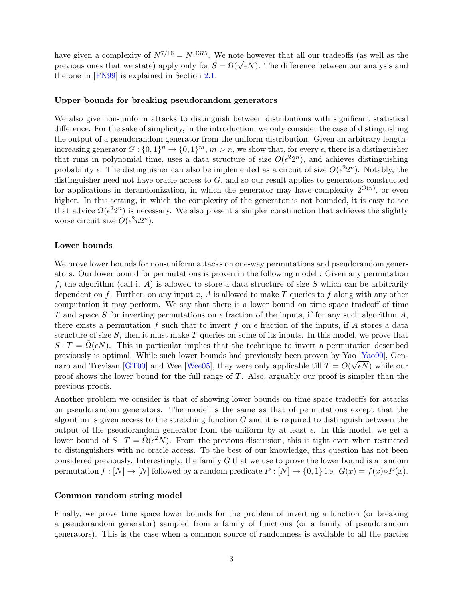<span id="page-3-0"></span>have given a complexity of  $N^{7/16} = N^{.4375}$ . We note however that all our tradeoffs (as well as the previous ones that we state) apply only for  $S = \tilde{\Omega}(\sqrt{\epsilon N})$ . The difference between our analysis and the one in [\[FN99\]](#page-36-0) is explained in Section [2.1.](#page-4-0)

#### Upper bounds for breaking pseudorandom generators

We also give non-uniform attacks to distinguish between distributions with significant statistical difference. For the sake of simplicity, in the introduction, we only consider the case of distinguishing the output of a pseudorandom generator from the uniform distribution. Given an arbitrary lengthincreasing generator  $G: \{0,1\}^n \to \{0,1\}^m$ ,  $m > n$ , we show that, for every  $\epsilon$ , there is a distinguisher that runs in polynomial time, uses a data structure of size  $O(\epsilon^2 2^n)$ , and achieves distinguishing probability  $\epsilon$ . The distinguisher can also be implemented as a circuit of size  $O(\epsilon^2 2^n)$ . Notably, the distinguisher need not have oracle access to  $G$ , and so our result applies to generators constructed for applications in derandomization, in which the generator may have complexity  $2^{O(n)}$ , or even higher. In this setting, in which the complexity of the generator is not bounded, it is easy to see that advice  $\Omega(\epsilon^2 2^n)$  is necessary. We also present a simpler construction that achieves the slightly worse circuit size  $O(\epsilon^2 n 2^n)$ .

### Lower bounds

We prove lower bounds for non-uniform attacks on one-way permutations and pseudorandom generators. Our lower bound for permutations is proven in the following model : Given any permutation f, the algorithm (call it A) is allowed to store a data structure of size S which can be arbitrarily dependent on f. Further, on any input x, A is allowed to make T queries to f along with any other computation it may perform. We say that there is a lower bound on time space tradeoff of time T and space S for inverting permutations on  $\epsilon$  fraction of the inputs, if for any such algorithm A, there exists a permutation f such that to invert f on  $\epsilon$  fraction of the inputs, if A stores a data structure of size  $S$ , then it must make  $T$  queries on some of its inputs. In this model, we prove that  $S \cdot T = \Omega(\epsilon N)$ . This in particular implies that the technique to invert a permutation described previously is optimal. While such lower bounds had previously been proven by Yao [\[Yao90\]](#page-37-1), Gen-naro and Trevisan [\[GT00\]](#page-37-2) and Wee [\[Wee05\]](#page-37-3), they were only applicable till  $T = O(\sqrt{\epsilon N})$  while our proof shows the lower bound for the full range of  $T$ . Also, arguably our proof is simpler than the previous proofs.

Another problem we consider is that of showing lower bounds on time space tradeoffs for attacks on pseudorandom generators. The model is the same as that of permutations except that the algorithm is given access to the stretching function  $G$  and it is required to distinguish between the output of the pseudorandom generator from the uniform by at least  $\epsilon$ . In this model, we get a lower bound of  $S \cdot T = \tilde{\Omega}(\epsilon^2 N)$ . From the previous discussion, this is tight even when restricted to distinguishers with no oracle access. To the best of our knowledge, this question has not been considered previously. Interestingly, the family G that we use to prove the lower bound is a random permutation  $f : [N] \to [N]$  followed by a random predicate  $P : [N] \to \{0,1\}$  i.e.  $G(x) = f(x) \circ P(x)$ .

#### Common random string model

Finally, we prove time space lower bounds for the problem of inverting a function (or breaking a pseudorandom generator) sampled from a family of functions (or a family of pseudorandom generators). This is the case when a common source of randomness is available to all the parties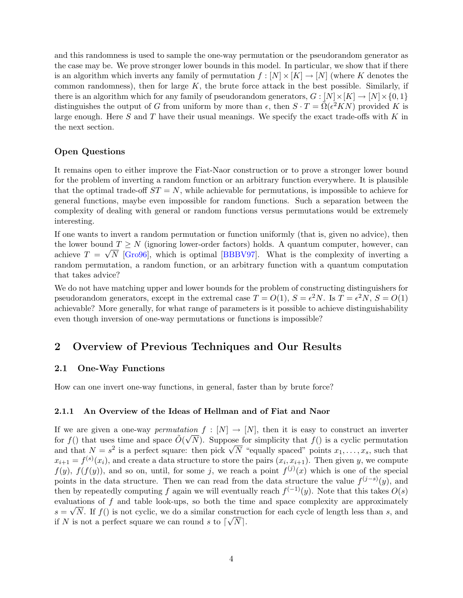<span id="page-4-1"></span>and this randomness is used to sample the one-way permutation or the pseudorandom generator as the case may be. We prove stronger lower bounds in this model. In particular, we show that if there is an algorithm which inverts any family of permutation  $f : [N] \times [K] \to [N]$  (where K denotes the common randomness), then for large  $K$ , the brute force attack in the best possible. Similarly, if there is an algorithm which for any family of pseudorandom generators,  $G : [N] \times [K] \rightarrow [N] \times \{0, 1\}$ distinguishes the output of G from uniform by more than  $\epsilon$ , then  $S \cdot T = \tilde{\Omega}(\epsilon^2 K N)$  provided K is large enough. Here S and T have their usual meanings. We specify the exact trade-offs with K in the next section.

### Open Questions

It remains open to either improve the Fiat-Naor construction or to prove a stronger lower bound for the problem of inverting a random function or an arbitrary function everywhere. It is plausible that the optimal trade-off  $ST = N$ , while achievable for permutations, is impossible to achieve for general functions, maybe even impossible for random functions. Such a separation between the complexity of dealing with general or random functions versus permutations would be extremely interesting.

If one wants to invert a random permutation or function uniformly (that is, given no advice), then the lower bound  $T \geq N$  (ignoring lower-order factors) holds. A quantum computer, however, can achieve  $T = \sqrt{N}$  [\[Gro96\]](#page-37-4), which is optimal [\[BBBV97\]](#page-36-5). What is the complexity of inverting a random permutation, a random function, or an arbitrary function with a quantum computation that takes advice?

We do not have matching upper and lower bounds for the problem of constructing distinguishers for pseudorandom generators, except in the extremal case  $T = O(1)$ ,  $S = \epsilon^2 N$ . Is  $T = \epsilon^2 N$ ,  $S = O(1)$ achievable? More generally, for what range of parameters is it possible to achieve distinguishability even though inversion of one-way permutations or functions is impossible?

## 2 Overview of Previous Techniques and Our Results

### <span id="page-4-0"></span>2.1 One-Way Functions

How can one invert one-way functions, in general, faster than by brute force?

### 2.1.1 An Overview of the Ideas of Hellman and of Fiat and Naor

If we are given a one-way *permutation*  $f : [N] \to [N]$ , then it is easy to construct an inverter for  $f()$  that uses time and space  $\tilde{O}(\sqrt{N})$ . Suppose for simplicity that  $f()$  is a cyclic permutation for  $J()$  that uses time and space  $O(VN)$ . Suppose for simplicity that  $J()$  is a cyclic permutation and that  $N = s^2$  is a perfect square: then pick  $\sqrt{N}$  "equally spaced" points  $x_1, \ldots, x_s$ , such that  $x_{i+1} = f^{(s)}(x_i)$ , and create a data structure to store the pairs  $(x_i, x_{i+1})$ . Then given y, we compute  $f(y)$ ,  $f(f(y))$ , and so on, until, for some j, we reach a point  $f^{(j)}(x)$  which is one of the special points in the data structure. Then we can read from the data structure the value  $f^{(j-s)}(y)$ , and then by repeatedly computing f again we will eventually reach  $f^{(-1)}(y)$ . Note that this takes  $O(s)$ evaluations of f and table look-ups, so both the time and space complexity are approximately  $s = \sqrt{N}$ . If  $f()$  is not cyclic, we do a similar construction for each cycle of length less than s, and if N is not a perfect square we can round s to  $\lceil \sqrt{N} \rceil$ .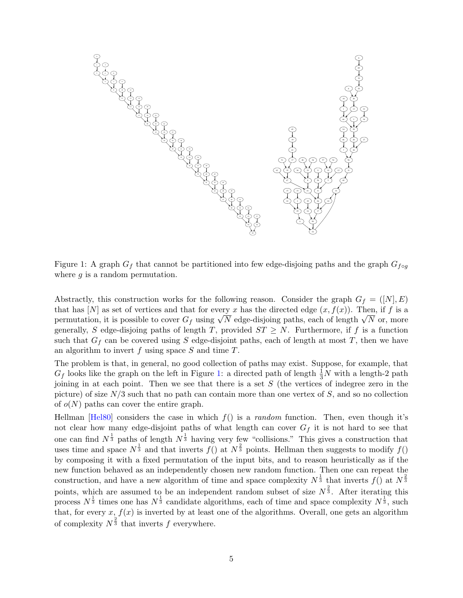<span id="page-5-1"></span>

<span id="page-5-0"></span>Figure 1: A graph  $G_f$  that cannot be partitioned into few edge-disjoing paths and the graph  $G_{f \circ g}$ where  $q$  is a random permutation.

Abstractly, this construction works for the following reason. Consider the graph  $G_f = ([N], E)$ that has [N] as set of vertices and that for every x has the directed edge  $(x, f(x))$ . Then, if f is a that has  $[N]$  as set of vertices and that for every x has the directed edge  $(x, f(x))$ . Then, if f is a<br>permutation, it is possible to cover  $G_f$  using  $\sqrt{N}$  edge-disjoing paths, each of length  $\sqrt{N}$  or, more generally, S edge-disjoing paths of length T, provided  $ST \geq N$ . Furthermore, if f is a function such that  $G_f$  can be covered using S edge-disjoint paths, each of length at most T, then we have an algorithm to invert  $f$  using space  $S$  and time  $T$ .

The problem is that, in general, no good collection of paths may exist. Suppose, for example, that  $G_f$  looks like the graph on the left in Figure [1:](#page-5-0) a directed path of length  $\frac{1}{3}N$  with a length-2 path joining in at each point. Then we see that there is a set  $S$  (the vertices of indegree zero in the picture) of size  $N/3$  such that no path can contain more than one vertex of S, and so no collection of  $o(N)$  paths can cover the entire graph.

Hellman [\[Hel80\]](#page-37-0) considers the case in which  $f()$  is a *random* function. Then, even though it's not clear how many edge-disjoint paths of what length can cover  $G_f$  it is not hard to see that one can find  $N^{\frac{1}{3}}$  paths of length  $N^{\frac{1}{3}}$  having very few "collisions." This gives a construction that uses time and space  $N^{\frac{1}{3}}$  and that inverts  $f()$  at  $N^{\frac{2}{3}}$  points. Hellman then suggests to modify  $f()$ by composing it with a fixed permutation of the input bits, and to reason heuristically as if the new function behaved as an independently chosen new random function. Then one can repeat the construction, and have a new algorithm of time and space complexity  $N^{\frac{1}{3}}$  that inverts  $f()$  at  $N^{\frac{2}{3}}$ points, which are assumed to be an independent random subset of size  $N^{\frac{2}{3}}$ . After iterating this process  $N^{\frac{1}{3}}$  times one has  $N^{\frac{1}{3}}$  candidate algorithms, each of time and space complexity  $N^{\frac{1}{3}}$ , such that, for every  $x, f(x)$  is inverted by at least one of the algorithms. Overall, one gets an algorithm of complexity  $N^{\frac{2}{3}}$  that inverts f everywhere.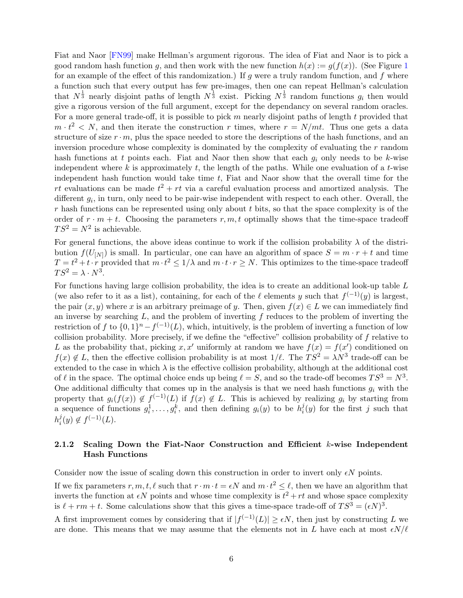<span id="page-6-0"></span>Fiat and Naor [\[FN99\]](#page-36-0) make Hellman's argument rigorous. The idea of Fiat and Naor is to pick a good random hash function g, and then work with the new function  $h(x) := g(f(x))$ . (See Figure [1](#page-5-0)) for an example of the effect of this randomization.) If  $g$  were a truly random function, and  $f$  where a function such that every output has few pre-images, then one can repeat Hellman's calculation that  $N^{\frac{1}{3}}$  nearly disjoint paths of length  $N^{\frac{1}{3}}$  exist. Picking  $N^{\frac{1}{3}}$  random functions  $g_i$  then would give a rigorous version of the full argument, except for the dependancy on several random oracles. For a more general trade-off, it is possible to pick m nearly disjoint paths of length  $t$  provided that  $m \cdot t^2 < N$ , and then iterate the construction r times, where  $r = N/mt$ . Thus one gets a data structure of size  $r \cdot m$ , plus the space needed to store the descriptions of the hash functions, and an inversion procedure whose complexity is dominated by the complexity of evaluating the r random hash functions at t points each. Fiat and Naor then show that each  $g_i$  only needs to be k-wise independent where k is approximately t, the length of the paths. While one evaluation of a t-wise independent hash function would take time  $t$ , Fiat and Naor show that the overall time for the rt evaluations can be made  $t^2 + rt$  via a careful evaluation process and amortized analysis. The different  $g_i$ , in turn, only need to be pair-wise independent with respect to each other. Overall, the  $r$  hash functions can be represented using only about  $t$  bits, so that the space complexity is of the order of  $r \cdot m + t$ . Choosing the parameters  $r, m, t$  optimally shows that the time-space tradeoff  $TS^2 = N^2$  is achievable.

For general functions, the above ideas continue to work if the collision probability  $\lambda$  of the distribution  $f(U_{[N]})$  is small. In particular, one can have an algorithm of space  $S = m \cdot r + t$  and time  $T = t^2 + t \cdot r$  provided that  $m \cdot t^2 \leq 1/\lambda$  and  $m \cdot t \cdot r \geq N$ . This optimizes to the time-space tradeoff  $TS^2 = \lambda \cdot N^3$ .

For functions having large collision probability, the idea is to create an additional look-up table L (we also refer to it as a list), containing, for each of the  $\ell$  elements y such that  $f^{(-1)}(y)$  is largest, the pair  $(x, y)$  where x is an arbitrary preimage of y. Then, given  $f(x) \in L$  we can immediately find an inverse by searching  $L$ , and the problem of inverting f reduces to the problem of inverting the restriction of f to  $\{0,1\}^n - f^{(-1)}(L)$ , which, intuitively, is the problem of inverting a function of low collision probability. More precisely, if we define the "effective" collision probability of f relative to L as the probability that, picking x, x' uniformly at random we have  $f(x) = f(x')$  conditioned on  $f(x) \notin L$ , then the effective collision probability is at most  $1/\ell$ . The  $TS^2 = \lambda N^3$  trade-off can be extended to the case in which  $\lambda$  is the effective collision probability, although at the additional cost of  $\ell$  in the space. The optimal choice ends up being  $\ell = S$ , and so the trade-off becomes  $TS^3 = N^3$ . One additional difficulty that comes up in the analysis is that we need hash functions  $q_i$  with the property that  $g_i(f(x)) \notin f^{(-1)}(L)$  if  $f(x) \notin L$ . This is achieved by realizing  $g_i$  by starting from a sequence of functions  $g_i^1, \ldots, g_i^k$ , and then defining  $g_i(y)$  to be  $h_i^j$  $i(y)$  for the first j such that  $h_i^j$  $i(y) \notin f^{(-1)}(L).$ 

## 2.1.2 Scaling Down the Fiat-Naor Construction and Efficient k-wise Independent Hash Functions

Consider now the issue of scaling down this construction in order to invert only  $\epsilon N$  points.

If we fix parameters  $r, m, t, \ell$  such that  $r \cdot m \cdot t = \epsilon N$  and  $m \cdot t^2 \leq \ell$ , then we have an algorithm that inverts the function at  $\epsilon N$  points and whose time complexity is  $t^2 + rt$  and whose space complexity is  $\ell + rm + t$ . Some calculations show that this gives a time-space trade-off of  $TS^3 = (\epsilon N)^3$ .

A first improvement comes by considering that if  $|f^{(-1)}(L)| \geq \epsilon N$ , then just by constructing L we are done. This means that we may assume that the elements not in L have each at most  $\epsilon N/\ell$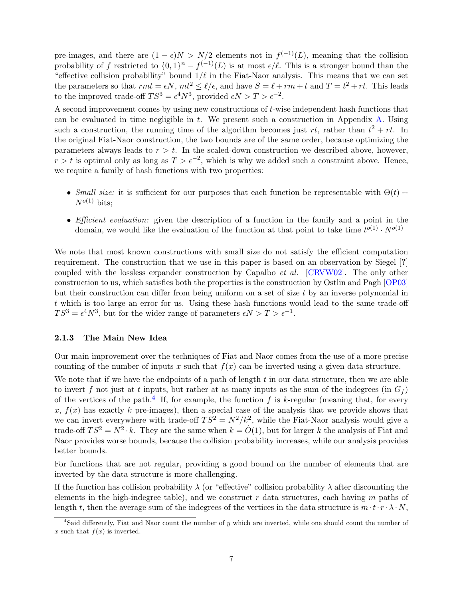<span id="page-7-1"></span>pre-images, and there are  $(1 - \epsilon)N > N/2$  elements not in  $f^{(-1)}(L)$ , meaning that the collision probability of f restricted to  $\{0,1\}^n - f^{(-1)}(L)$  is at most  $\epsilon/\ell$ . This is a stronger bound than the "effective collision probability" bound  $1/\ell$  in the Fiat-Naor analysis. This means that we can set the parameters so that  $rmt = \epsilon N$ ,  $mt^2 \le \ell/\epsilon$ , and have  $S = \ell + rm + t$  and  $T = t^2 + rt$ . This leads to the improved trade-off  $TS^3 = \epsilon^4 N^3$ , provided  $\epsilon N > T > \epsilon^{-2}$ .

A second improvement comes by using new constructions of t-wise independent hash functions that can be evaluated in time negligible in  $t$ . We present such a construction in Appendix [A.](#page-37-5) Using such a construction, the running time of the algorithm becomes just  $rt$ , rather than  $t^2 + rt$ . In the original Fiat-Naor construction, the two bounds are of the same order, because optimizing the parameters always leads to  $r > t$ . In the scaled-down construction we described above, however,  $r > t$  is optimal only as long as  $T > \epsilon^{-2}$ , which is why we added such a constraint above. Hence, we require a family of hash functions with two properties:

- Small size: it is sufficient for our purposes that each function be representable with  $\Theta(t)$  +  $N^{o(1)}$  bits:
- *Efficient evaluation:* given the description of a function in the family and a point in the domain, we would like the evaluation of the function at that point to take time  $t^{o(1)} \cdot N^{o(1)}$

We note that most known constructions with small size do not satisfy the efficient computation requirement. The construction that we use in this paper is based on an observation by Siegel [?] coupled with the lossless expander construction by Capalbo et al. [\[CRVW02\]](#page-36-6). The only other construction to us, which satisfies both the properties is the construction by Ostlin and Pagh [\[OP03\]](#page-37-6) but their construction can differ from being uniform on a set of size t by an inverse polynomial in t which is too large an error for us. Using these hash functions would lead to the same trade-off  $TS^3 = \epsilon^4 N^3$ , but for the wider range of parameters  $\epsilon N > T > \epsilon^{-1}$ .

#### 2.1.3 The Main New Idea

Our main improvement over the techniques of Fiat and Naor comes from the use of a more precise counting of the number of inputs x such that  $f(x)$  can be inverted using a given data structure.

We note that if we have the endpoints of a path of length  $t$  in our data structure, then we are able to invert f not just at t inputs, but rather at as many inputs as the sum of the indegrees (in  $G_f$ ) of the vertices of the path.<sup>[4](#page-7-0)</sup> If, for example, the function f is k-regular (meaning that, for every x,  $f(x)$  has exactly k pre-images), then a special case of the analysis that we provide shows that we can invert everywhere with trade-off  $TS^2 = N^2/k^2$ , while the Fiat-Naor analysis would give a trade-off  $TS^2 = N^2 \cdot k$ . They are the same when  $k = \tilde{O}(1)$ , but for larger k the analysis of Fiat and Naor provides worse bounds, because the collision probability increases, while our analysis provides better bounds.

For functions that are not regular, providing a good bound on the number of elements that are inverted by the data structure is more challenging.

If the function has collision probability  $\lambda$  (or "effective" collision probability  $\lambda$  after discounting the elements in the high-indegree table), and we construct  $r$  data structures, each having  $m$  paths of length t, then the average sum of the indegrees of the vertices in the data structure is  $m \cdot t \cdot r \cdot \lambda \cdot N$ .

<span id="page-7-0"></span><sup>&</sup>lt;sup>4</sup>Said differently, Fiat and Naor count the number of y which are inverted, while one should count the number of x such that  $f(x)$  is inverted.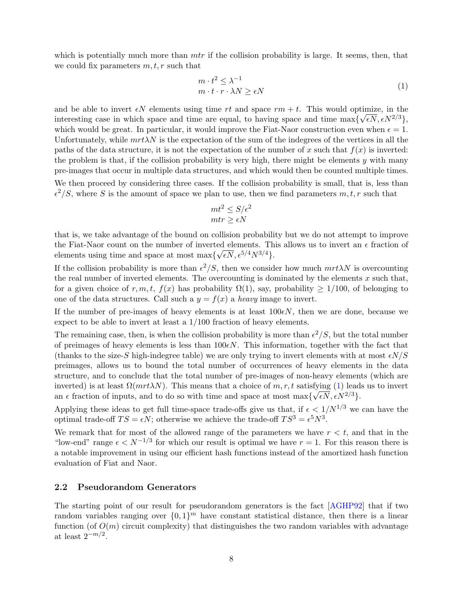<span id="page-8-1"></span>which is potentially much more than  $mtr$  if the collision probability is large. It seems, then, that we could fix parameters  $m, t, r$  such that

<span id="page-8-0"></span>
$$
m \cdot t^2 \le \lambda^{-1}
$$
  
\n
$$
m \cdot t \cdot r \cdot \lambda N \ge \epsilon N
$$
\n(1)

and be able to invert  $\epsilon N$  elements using time rt and space  $rm + t$ . This would optimize, in the interesting case in which space and time are equal, to having space and time  $\max\{\sqrt{\epsilon N}, \epsilon N^{2/3}\},\$ which would be great. In particular, it would improve the Fiat-Naor construction even when  $\epsilon = 1$ . Unfortunately, while  $m\tau\lambda N$  is the expectation of the sum of the indegrees of the vertices in all the paths of the data structure, it is not the expectation of the number of x such that  $f(x)$  is inverted: the problem is that, if the collision probability is very high, there might be elements  $y$  with many pre-images that occur in multiple data structures, and which would then be counted multiple times. We then proceed by considering three cases. If the collision probability is small, that is, less than  $\epsilon^2/S$ , where S is the amount of space we plan to use, then we find parameters  $m, t, r$  such that

$$
mt^2 \le S/\epsilon^2
$$
  

$$
mtr \ge \epsilon N
$$

that is, we take advantage of the bound on collision probability but we do not attempt to improve the Fiat-Naor count on the number of inverted elements. This allows us to invert an  $\epsilon$  fraction of elements using time and space at most max $\{\sqrt{\epsilon N}, \epsilon^{5/4} N^{3/4}\}.$ 

If the collision probability is more than  $\epsilon^2/S$ , then we consider how much  $mrt\lambda N$  is overcounting the real number of inverted elements. The overcounting is dominated by the elements  $x$  such that, for a given choice of r, m, t,  $f(x)$  has probability  $\Omega(1)$ , say, probability  $\geq 1/100$ , of belonging to one of the data structures. Call such a  $y = f(x)$  a heavy image to invert.

If the number of pre-images of heavy elements is at least  $100\epsilon N$ , then we are done, because we expect to be able to invert at least a 1/100 fraction of heavy elements.

The remaining case, then, is when the collision probability is more than  $\epsilon^2/S$ , but the total number of preimages of heavy elements is less than  $100\epsilon N$ . This information, together with the fact that (thanks to the size-S high-indegree table) we are only trying to invert elements with at most  $\epsilon N/S$ preimages, allows us to bound the total number of occurrences of heavy elements in the data structure, and to conclude that the total number of pre-images of non-heavy elements (which are inverted) is at least  $\Omega(mrt\lambda N)$ . This means that a choice of  $m, r, t$  satisfying [\(1\)](#page-8-0) leads us to invert an  $\epsilon$  fraction of inputs, and to do so with time and space at most max $\{\sqrt{\epsilon N}, \epsilon N^{2/3}\}.$ 

Applying these ideas to get full time-space trade-offs give us that, if  $\epsilon < 1/N^{1/3}$  we can have the optimal trade-off  $TS = \epsilon N$ ; otherwise we achieve the trade-off  $TS^3 = \epsilon^5 N^3$ .

We remark that for most of the allowed range of the parameters we have  $r < t$ , and that in the "low-end" range  $\epsilon < N^{-1/3}$  for which our result is optimal we have  $r = 1$ . For this reason there is a notable improvement in using our efficient hash functions instead of the amortized hash function evaluation of Fiat and Naor.

#### 2.2 Pseudorandom Generators

The starting point of our result for pseudorandom generators is the fact [\[AGHP92\]](#page-36-3) that if two random variables ranging over  $\{0,1\}^m$  have constant statistical distance, then there is a linear function (of  $O(m)$  circuit complexity) that distinguishes the two random variables with advantage at least  $2^{-m/2}$ .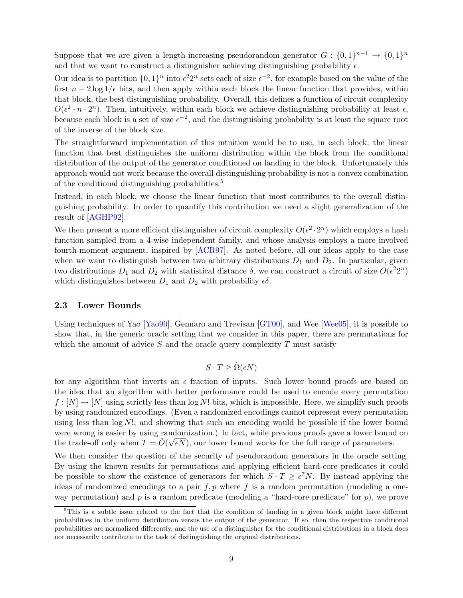<span id="page-9-1"></span>Suppose that we are given a length-increasing pseudorandom generator  $G: \{0,1\}^{n-1} \to \{0,1\}^n$ and that we want to construct a distinguisher achieving distinguishing probability  $\epsilon$ .

Our idea is to partition  $\{0,1\}^n$  into  $\epsilon^2 2^n$  sets each of size  $\epsilon^{-2}$ , for example based on the value of the first  $n - 2 \log 1/\epsilon$  bits, and then apply within each block the linear function that provides, within that block, the best distinguishing probability. Overall, this defines a function of circuit complexity  $O(\epsilon^2 \cdot n \cdot 2^n)$ . Then, intuitively, within each block we achieve distinguishing probability at least  $\epsilon$ , because each block is a set of size  $\epsilon^{-2}$ , and the distinguishing probability is at least the square root of the inverse of the block size.

The straightforward implementation of this intuition would be to use, in each block, the linear function that best distinguishes the uniform distribution within the block from the conditional distribution of the output of the generator conditioned on landing in the block. Unfortunately this approach would not work because the overall distinguishing probability is not a convex combination of the conditional distinguishing probabilities.<sup>[5](#page-9-0)</sup>

Instead, in each block, we choose the linear function that most contributes to the overall distinguishing probability. In order to quantify this contribution we need a slight generalization of the result of [\[AGHP92\]](#page-36-3).

We then present a more efficient distinguisher of circuit complexity  $O(\epsilon^2 \cdot 2^n)$  which employs a hash function sampled from a 4-wise independent family, and whose analysis employs a more involved fourth-moment argument, inspired by [\[ACR97\]](#page-36-4). As noted before, all our ideas apply to the case when we want to distinguish between two arbitrary distributions  $D_1$  and  $D_2$ . In particular, given two distributions  $D_1$  and  $D_2$  with statistical distance  $\delta$ , we can construct a circuit of size  $O(\epsilon^2 2^n)$ which distinguishes between  $D_1$  and  $D_2$  with probability  $\epsilon \delta$ .

#### 2.3 Lower Bounds

Using techniques of Yao  $[Yao90]$ , Gennaro and Trevisan  $[GT00]$ , and Wee  $[Wee05]$ , it is possible to show that, in the generic oracle setting that we consider in this paper, there are permutations for which the amount of advice  $S$  and the oracle query complexity  $T$  must satisfy

$$
S \cdot T \ge \tilde{\Omega}(\epsilon N)
$$

for any algorithm that inverts an  $\epsilon$  fraction of inputs. Such lower bound proofs are based on the idea that an algorithm with better performance could be used to encode every permutation  $f: [N] \to [N]$  using strictly less than log N! bits, which is impossible. Here, we simplify such proofs by using randomized encodings. (Even a randomized encodings cannot represent every permutation using less than  $\log N!$ , and showing that such an encoding would be possible if the lower bound were wrong is easier by using randomization.) In fact, while previous proofs gave a lower bound on the trade-off only when  $T = \tilde{O}(\sqrt{\epsilon N})$ , our lower bound works for the full range of parameters.

We then consider the question of the security of pseudorandom generators in the oracle setting. By using the known results for permutations and applying efficient hard-core predicates it could be possible to show the existence of generators for which  $S \cdot T \geq \epsilon^7 N$ . By instead applying the ideas of randomized encodings to a pair  $f, p$  where f is a random permutation (modeling a oneway permutation) and  $p$  is a random predicate (modeling a "hard-core predicate" for  $p$ ), we prove

<span id="page-9-0"></span><sup>5</sup>This is a subtle issue related to the fact that the condition of landing in a given block might have different probabilities in the uniform distribution versus the output of the generator. If so, then the respective conditional probabilities are normalized differently, and the use of a distinguisher for the conditional distributions in a block does not necessarily contribute to the task of distinguishing the original distributions.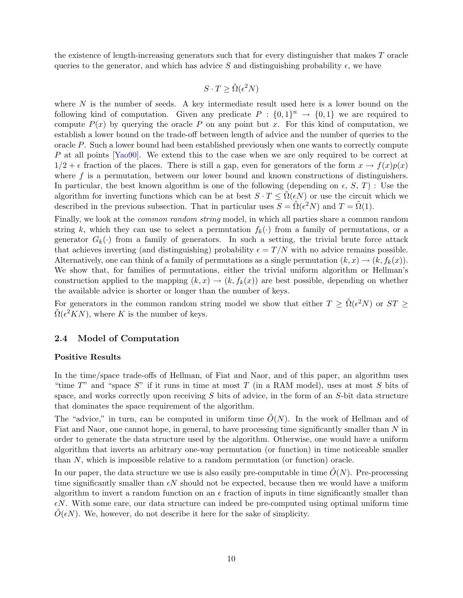<span id="page-10-0"></span>the existence of length-increasing generators such that for every distinguisher that makes T oracle queries to the generator, and which has advice S and distinguishing probability  $\epsilon$ , we have

$$
S \cdot T \ge \tilde{\Omega}(\epsilon^2 N)
$$

where  $N$  is the number of seeds. A key intermediate result used here is a lower bound on the following kind of computation. Given any predicate  $P: \{0,1\}^n \to \{0,1\}$  we are required to compute  $P(x)$  by querying the oracle P on any point but x. For this kind of computation, we establish a lower bound on the trade-off between length of advice and the number of queries to the oracle  $P$ . Such a lower bound had been established previously when one wants to correctly compute P at all points [\[Yao90\]](#page-37-1). We extend this to the case when we are only required to be correct at  $1/2 + \epsilon$  fraction of the places. There is still a gap, even for generators of the form  $x \to f(x)p(x)$ where  $f$  is a permutation, between our lower bound and known constructions of distinguishers. In particular, the best known algorithm is one of the following (depending on  $\epsilon$ , S, T) : Use the algorithm for inverting functions which can be at best  $S \cdot T \leq \Omega(\epsilon N)$  or use the circuit which we described in the previous subsection. That in particular uses  $S = \tilde{\Omega}(\epsilon^2 N)$  and  $T = \tilde{\Omega}(1)$ .

Finally, we look at the common random string model, in which all parties share a common random string k, which they can use to select a permutation  $f_k(\cdot)$  from a family of permutations, or a generator  $G_k(\cdot)$  from a family of generators. In such a setting, the trivial brute force attack that achieves inverting (and distinguishing) probability  $\epsilon = T/N$  with no advice remains possible. Alternatively, one can think of a family of permutations as a single permutation  $(k, x) \rightarrow (k, f_k(x))$ . We show that, for families of permutations, either the trivial uniform algorithm or Hellman's construction applied to the mapping  $(k, x) \rightarrow (k, f_k(x))$  are best possible, depending on whether the available advice is shorter or longer than the number of keys.

For generators in the common random string model we show that either  $T \geq \tilde{\Omega}(\epsilon^2 N)$  or  $ST \geq$  $\tilde{\Omega}(\epsilon^2 KN)$ , where K is the number of keys.

### 2.4 Model of Computation

#### Positive Results

In the time/space trade-offs of Hellman, of Fiat and Naor, and of this paper, an algorithm uses "time  $T$ " and "space  $S$ " if it runs in time at most  $T$  (in a RAM model), uses at most  $S$  bits of space, and works correctly upon receiving  $S$  bits of advice, in the form of an  $S$ -bit data structure that dominates the space requirement of the algorithm.

The "advice," in turn, can be computed in uniform time  $\tilde{O}(N)$ . In the work of Hellman and of Fiat and Naor, one cannot hope, in general, to have processing time significantly smaller than N in order to generate the data structure used by the algorithm. Otherwise, one would have a uniform algorithm that inverts an arbitrary one-way permutation (or function) in time noticeable smaller than N, which is impossible relative to a random permutation (or function) oracle.

In our paper, the data structure we use is also easily pre-computable in time  $\tilde{O}(N)$ . Pre-processing time significantly smaller than  $\epsilon N$  should not be expected, because then we would have a uniform algorithm to invert a random function on an  $\epsilon$  fraction of inputs in time significantly smaller than  $\epsilon N$ . With some care, our data structure can indeed be pre-computed using optimal uniform time  $O(\epsilon N)$ . We, however, do not describe it here for the sake of simplicity.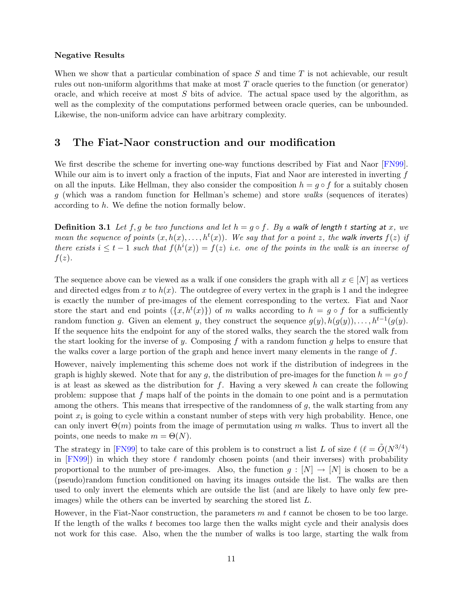#### <span id="page-11-0"></span>Negative Results

When we show that a particular combination of space  $S$  and time  $T$  is not achievable, our result rules out non-uniform algorithms that make at most  $T$  oracle queries to the function (or generator) oracle, and which receive at most  $S$  bits of advice. The actual space used by the algorithm, as well as the complexity of the computations performed between oracle queries, can be unbounded. Likewise, the non-uniform advice can have arbitrary complexity.

## 3 The Fiat-Naor construction and our modification

We first describe the scheme for inverting one-way functions described by Fiat and Naor [\[FN99\]](#page-36-0). While our aim is to invert only a fraction of the inputs, Fiat and Naor are interested in inverting  $f$ on all the inputs. Like Hellman, they also consider the composition  $h = g \circ f$  for a suitably chosen g (which was a random function for Hellman's scheme) and store walks (sequences of iterates) according to h. We define the notion formally below.

**Definition 3.1** Let f, g be two functions and let  $h = g \circ f$ . By a walk of length t starting at x, we mean the sequence of points  $(x, h(x), \ldots, h^t(x))$ . We say that for a point z, the walk inverts  $f(z)$  if there exists  $i \leq t-1$  such that  $f(h^i(x)) = f(z)$  i.e. one of the points in the walk is an inverse of  $f(z)$ .

The sequence above can be viewed as a walk if one considers the graph with all  $x \in [N]$  as vertices and directed edges from x to  $h(x)$ . The outdegree of every vertex in the graph is 1 and the indegree is exactly the number of pre-images of the element corresponding to the vertex. Fiat and Naor store the start and end points  $({x, h<sup>t</sup>(x)}$  of m walks according to  $h = g \circ f$  for a sufficiently random function g. Given an element y, they construct the sequence  $g(y)$ ,  $h(g(y))$ , ...,  $h^{t-1}(g(y))$ . If the sequence hits the endpoint for any of the stored walks, they search the the stored walk from the start looking for the inverse of y. Composing f with a random function q helps to ensure that the walks cover a large portion of the graph and hence invert many elements in the range of  $f$ .

However, naively implementing this scheme does not work if the distribution of indegrees in the graph is highly skewed. Note that for any g, the distribution of pre-images for the function  $h = q \circ f$ is at least as skewed as the distribution for  $f$ . Having a very skewed h can create the following problem: suppose that  $f$  maps half of the points in the domain to one point and is a permutation among the others. This means that irrespective of the randomness of  $g$ , the walk starting from any point  $x_i$  is going to cycle within a constant number of steps with very high probability. Hence, one can only invert  $\Theta(m)$  points from the image of permutation using m walks. Thus to invert all the points, one needs to make  $m = \Theta(N)$ .

The strategy in [\[FN99\]](#page-36-0) to take care of this problem is to construct a list L of size  $\ell$  ( $\ell = \tilde{O}(N^{3/4})$ ) in  $[FN99]$  in which they store  $\ell$  randomly chosen points (and their inverses) with probability proportional to the number of pre-images. Also, the function  $g : [N] \to [N]$  is chosen to be a (pseudo)random function conditioned on having its images outside the list. The walks are then used to only invert the elements which are outside the list (and are likely to have only few preimages) while the others can be inverted by searching the stored list L.

However, in the Fiat-Naor construction, the parameters  $m$  and  $t$  cannot be chosen to be too large. If the length of the walks  $t$  becomes too large then the walks might cycle and their analysis does not work for this case. Also, when the the number of walks is too large, starting the walk from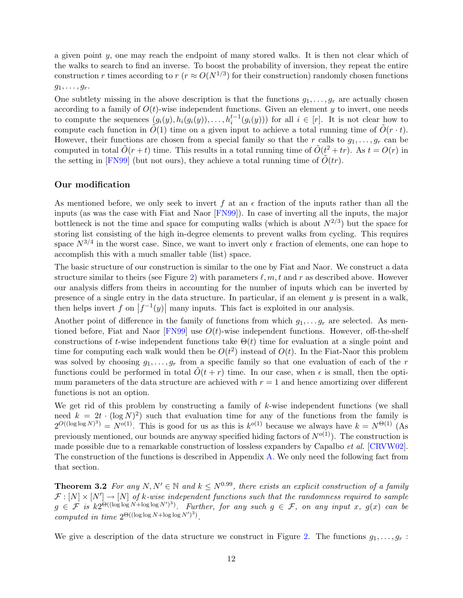<span id="page-12-1"></span>a given point y, one may reach the endpoint of many stored walks. It is then not clear which of the walks to search to find an inverse. To boost the probability of inversion, they repeat the entire construction r times according to  $r (r \approx O(N^{1/3})$  for their construction) randomly chosen functions  $g_1, \ldots, g_r.$ 

One subtlety missing in the above description is that the functions  $g_1, \ldots, g_r$  are actually chosen according to a family of  $O(t)$ -wise independent functions. Given an element y to invert, one needs to compute the sequences  $(g_i(y), h_i(g_i(y)), \ldots, h_i^{t-1}(g_i(y)))$  for all  $i \in [r]$ . It is not clear how to compute each function in  $\tilde{O}(1)$  time on a given input to achieve a total running time of  $\tilde{O}(r \cdot t)$ . However, their functions are chosen from a special family so that the r calls to  $g_1, \ldots, g_r$  can be computed in total  $\tilde{O}(r+t)$  time. This results in a total running time of  $\tilde{O}(t^2+tr)$ . As  $t=O(r)$  in the setting in [\[FN99\]](#page-36-0) (but not ours), they achieve a total running time of  $O(tr)$ .

### Our modification

As mentioned before, we only seek to invert f at an  $\epsilon$  fraction of the inputs rather than all the inputs (as was the case with Fiat and Naor [\[FN99\]](#page-36-0)). In case of inverting all the inputs, the major bottleneck is not the time and space for computing walks (which is about  $N^{2/3}$ ) but the space for storing list consisting of the high in-degree elements to prevent walks from cycling. This requires space  $N^{3/4}$  in the worst case. Since, we want to invert only  $\epsilon$  fraction of elements, one can hope to accomplish this with a much smaller table (list) space.

The basic structure of our construction is similar to the one by Fiat and Naor. We construct a data structure similar to theirs (see Figure [2\)](#page-13-0) with parameters  $\ell, m, t$  and r as described above. However our analysis differs from theirs in accounting for the number of inputs which can be inverted by presence of a single entry in the data structure. In particular, if an element  $y$  is present in a walk, then helps invert f on  $|f^{-1}(y)|$  many inputs. This fact is exploited in our analysis.

Another point of difference in the family of functions from which  $g_1, \ldots g_r$  are selected. As mentioned before, Fiat and Naor  $[FN99]$  use  $O(t)$ -wise independent functions. However, off-the-shelf constructions of t-wise independent functions take  $\Theta(t)$  time for evaluation at a single point and time for computing each walk would then be  $O(t^2)$  instead of  $O(t)$ . In the Fiat-Naor this problem was solved by choosing  $g_1, \ldots, g_r$  from a specific family so that one evaluation of each of the r functions could be performed in total  $\tilde{O}(t + r)$  time. In our case, when  $\epsilon$  is small, then the optimum parameters of the data structure are achieved with  $r = 1$  and hence amortizing over different functions is not an option.

We get rid of this problem by constructing a family of k-wise independent functions (we shall need  $k = 2t \cdot (\log N)^2$  such that evaluation time for any of the functions from the family is  $2^{O((\log \log N)^3)} = N^{o(1)}$ . This is good for us as this is  $k^{o(1)}$  because we always have  $k = N^{\Theta(1)}$  (As previously mentioned, our bounds are anyway specified hiding factors of  $N^{o(1)}$ ). The construction is made possible due to a remarkable construction of lossless expanders by Capalbo *et al.* [\[CRVW02\]](#page-36-6). The construction of the functions is described in Appendix [A.](#page-37-5) We only need the following fact from that section.

<span id="page-12-0"></span>**Theorem 3.2** For any  $N, N' \in \mathbb{N}$  and  $k \leq N^{0.99}$ , there exists an explicit construction of a family  $\mathcal{F}: [N] \times [N'] \to [N]$  of k-wise independent functions such that the randomness required to sample  $g \in \mathcal{F}$  is  $k2^{\Theta((\log \log N+\log \log N')^3)}$ . Further, for any such  $g \in \mathcal{F}$ , on any input x,  $g(x)$  can be computed in time  $2^{\Theta((\log \log N + \log \log N')^3)}$ .

We give a description of the data structure we construct in Figure [2.](#page-13-0) The functions  $g_1, \ldots, g_r$ :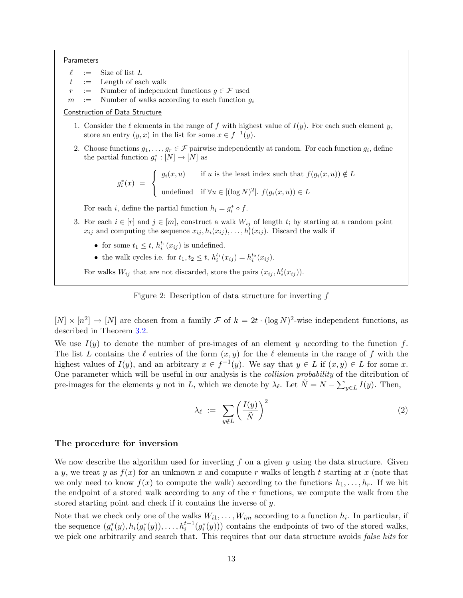#### **Parameters**

- $\ell$  := Size of list L
- $t$  := Length of each walk
- Number of independent functions  $g \in \mathcal{F}$  used
- $m$  := Number of walks according to each function  $g_i$

### Construction of Data Structure

- 1. Consider the  $\ell$  elements in the range of f with highest value of  $I(y)$ . For each such element y, store an entry  $(y, x)$  in the list for some  $x \in f^{-1}(y)$ .
- 2. Choose functions  $g_1, \ldots, g_r \in \mathcal{F}$  pairwise independently at random. For each function  $g_i$ , define the partial function  $g_i^* : [N] \to [N]$  as

 $g_i^*(x) =$  $\sqrt{ }$  $\int$  $\mathcal{L}$  $g_i(x, u)$  if u is the least index such that  $f(g_i(x, u)) \notin L$ undefined if  $\forall u \in [(\log N)^2]$ .  $f(g_i(x, u)) \in L$ 

For each *i*, define the partial function  $h_i = g_i^* \circ f$ .

- 3. For each  $i \in [r]$  and  $j \in [m]$ , construct a walk  $W_{ij}$  of length t; by starting at a random point  $x_{ij}$  and computing the sequence  $x_{ij}, h_i(x_{ij}), \ldots, h_i^{\overline{t}}(x_{ij}).$  Discard the walk if
	- for some  $t_1 \leq t$ ,  $h_i^{t_1}(x_{ij})$  is undefined.
	- the walk cycles i.e. for  $t_1, t_2 \leq t$ ,  $h_i^{t_1}(x_{ij}) = h_i^{t_2}(x_{ij})$ .

For walks  $W_{ij}$  that are not discarded, store the pairs  $(x_{ij}, h_i^t(x_{ij}))$ .

<span id="page-13-0"></span>Figure 2: Description of data structure for inverting f

 $[N] \times [n^2] \to [N]$  are chosen from a family  $\mathcal F$  of  $k = 2t \cdot (\log N)^2$ -wise independent functions, as described in Theorem [3.2.](#page-12-0)

We use  $I(y)$  to denote the number of pre-images of an element y according to the function f. The list L contains the  $\ell$  entries of the form  $(x, y)$  for the  $\ell$  elements in the range of f with the highest values of  $I(y)$ , and an arbitrary  $x \in f^{-1}(y)$ . We say that  $y \in L$  if  $(x, y) \in L$  for some x. One parameter which will be useful in our analysis is the collision probability of the ditribution of pre-images for the elements y not in L, which we denote by  $\lambda_{\ell}$ . Let  $\tilde{N} = N - \sum_{y \in L} I(y)$ . Then,

<span id="page-13-1"></span>
$$
\lambda_{\ell} := \sum_{y \notin L} \left( \frac{I(y)}{\tilde{N}} \right)^2 \tag{2}
$$

### The procedure for inversion

We now describe the algorithm used for inverting  $f$  on a given  $y$  using the data structure. Given a y, we treat y as  $f(x)$  for an unknown x and compute r walks of length t starting at x (note that we only need to know  $f(x)$  to compute the walk) according to the functions  $h_1, \ldots, h_r$ . If we hit the endpoint of a stored walk according to any of the  $r$  functions, we compute the walk from the stored starting point and check if it contains the inverse of y.

Note that we check only one of the walks  $W_{i1}, \ldots, W_{im}$  according to a function  $h_i$ . In particular, if the sequence  $(g_i^*(y), h_i(g_i^*(y)), \ldots, h_i^{t-1}(g_i^*(y)))$  contains the endpoints of two of the stored walks, we pick one arbitrarily and search that. This requires that our data structure avoids *false hits* for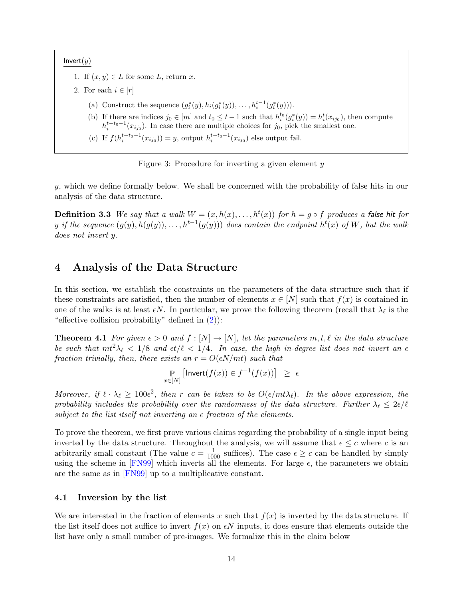<span id="page-14-2"></span> $Invert(y)$ 

- 1. If  $(x, y) \in L$  for some L, return x.
- 2. For each  $i \in [r]$ 
	- (a) Construct the sequence  $(g_i^*(y), h_i(g_i^*(y)), \ldots, h_i^{t-1}(g_i^*(y))).$
	- (b) If there are indices  $j_0 \in [m]$  and  $t_0 \le t-1$  such that  $h_i^{t_0}(g_i^*(y)) = h_i^t(x_{ij_0})$ , then compute  $h_i^{t-t_0-1}(x_{ij_0})$ . In case there are multiple choices for  $j_0$ , pick the smallest one.
	- (c) If  $f(h_i^{t-t_0-1}(x_{ij_0})) = y$ , output  $h_i^{t-t_0-1}(x_{ij_0})$  else output fail.

Figure 3: Procedure for inverting a given element  $y$ 

y, which we define formally below. We shall be concerned with the probability of false hits in our analysis of the data structure.

**Definition 3.3** We say that a walk  $W = (x, h(x), \ldots, h^t(x))$  for  $h = g \circ f$  produces a false hit for y if the sequence  $(g(y), h(g(y)), \ldots, h^{t-1}(g(y)))$  does contain the endpoint  $h^t(x)$  of W, but the walk does not invert y.

## 4 Analysis of the Data Structure

In this section, we establish the constraints on the parameters of the data structure such that if these constraints are satisfied, then the number of elements  $x \in [N]$  such that  $f(x)$  is contained in one of the walks is at least  $\epsilon N$ . In particular, we prove the following theorem (recall that  $\lambda_{\ell}$  is the "effective collision probability" defined in  $(2)$ ):

<span id="page-14-1"></span>**Theorem 4.1** For given  $\epsilon > 0$  and  $f : [N] \to [N]$ , let the parameters  $m, t, \ell$  in the data structure be such that  $m t^2 \lambda_\ell < 1/8$  and  $\epsilon t/\ell < 1/4$ . In case, the high in-degree list does not invert an  $\epsilon$ fraction trivially, then, there exists an  $r = O(\epsilon N/mt)$  such that

$$
\mathop{\mathbb{P}}_{x \in [N]} [\mathsf{Invert}(f(x)) \in f^{-1}(f(x))] \geq \epsilon
$$

Moreover, if  $\ell \cdot \lambda_\ell \geq 100\epsilon^2$ , then r can be taken to be  $O(\epsilon/mL)$ . In the above expression, the probability includes the probability over the randomness of the data structure. Further  $\lambda_\ell \leq 2\epsilon/\ell$ subject to the list itself not inverting an  $\epsilon$  fraction of the elements.

To prove the theorem, we first prove various claims regarding the probability of a single input being inverted by the data structure. Throughout the analysis, we will assume that  $\epsilon \leq c$  where c is an arbitrarily small constant (The value  $c = \frac{1}{1000}$  suffices). The case  $\epsilon \geq c$  can be handled by simply using the scheme in [\[FN99\]](#page-36-0) which inverts all the elements. For large  $\epsilon$ , the parameters we obtain are the same as in [\[FN99\]](#page-36-0) up to a multiplicative constant.

### 4.1 Inversion by the list

<span id="page-14-0"></span>We are interested in the fraction of elements x such that  $f(x)$  is inverted by the data structure. If the list itself does not suffice to invert  $f(x)$  on  $\epsilon N$  inputs, it does ensure that elements outside the list have only a small number of pre-images. We formalize this in the claim below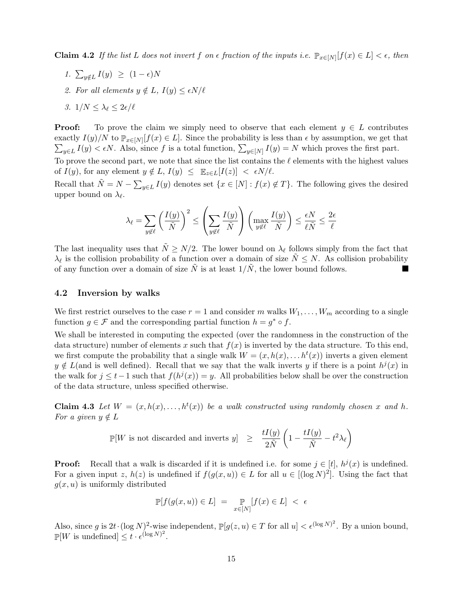**Claim 4.2** If the list L does not invert f on  $\epsilon$  fraction of the inputs i.e.  $\mathbb{P}_{x\in[N]}[f(x)\in L] < \epsilon$ , then

- 1.  $\sum_{y \notin L} I(y) \geq (1 \epsilon)N$
- 2. For all elements  $y \notin L$ ,  $I(y) \leq \epsilon N/\ell$
- 3.  $1/N \leq \lambda_{\ell} \leq 2\epsilon/\ell$

**Proof:** To prove the claim we simply need to observe that each element  $y \in L$  contributes exactly  $I(y)/N$  to  $\mathbb{P}_{x\in[N]}[f(x)\in L]$ . Since the probability is less than  $\epsilon$  by assumption, we get that  $\sum_{y\in L} I(y) < \epsilon N$ . Also, since f is a total function,  $\sum_{y\in[N]} I(y) = N$  which proves the first part.

To prove the second part, we note that since the list contains the  $\ell$  elements with the highest values of  $I(y)$ , for any element  $y \notin L$ ,  $I(y) \leq \mathbb{E}_{z \in L}[I(z)] < \epsilon N/\ell$ .

Recall that  $\tilde{N} = N - \sum_{y \in L} I(y)$  denotes set  $\{x \in [N] : f(x) \notin T\}$ . The following gives the desired upper bound on  $\lambda_{\ell}$ .

$$
\lambda_{\ell} = \sum_{y \notin \ell} \left(\frac{I(y)}{\tilde{N}}\right)^2 \le \left(\sum_{y \notin \ell} \frac{I(y)}{\tilde{N}}\right) \left(\max_{y \notin \ell} \frac{I(y)}{\tilde{N}}\right) \le \frac{\epsilon N}{\ell \tilde{N}} \le \frac{2\epsilon}{\ell}
$$

The last inequality uses that  $\tilde{N} \geq N/2$ . The lower bound on  $\lambda_{\ell}$  follows simply from the fact that  $\lambda_{\ell}$  is the collision probability of a function over a domain of size  $\tilde{N} \leq N$ . As collision probability of any function over a domain of size  $\tilde{N}$  is at least  $1/\tilde{N}$ , the lower bound follows. M

#### 4.2 Inversion by walks

We first restrict ourselves to the case  $r = 1$  and consider m walks  $W_1, \ldots, W_m$  according to a single function  $g \in \mathcal{F}$  and the corresponding partial function  $h = g^* \circ f$ .

We shall be interested in computing the expected (over the randomness in the construction of the data structure) number of elements x such that  $f(x)$  is inverted by the data structure. To this end, we first compute the probability that a single walk  $W = (x, h(x), \ldots h^{t}(x))$  inverts a given element  $y \notin L$ (and is well defined). Recall that we say that the walk inverts y if there is a point  $h^{j}(x)$  in the walk for  $j \leq t-1$  such that  $f(h^j(x)) = y$ . All probabilities below shall be over the construction of the data structure, unless specified otherwise.

<span id="page-15-0"></span>**Claim 4.3** Let  $W = (x, h(x), \ldots, h^t(x))$  be a walk constructed using randomly chosen x and h. For a given  $y \notin L$ 

$$
\mathbb{P}[W \text{ is not discarded and inverts } y] \geq \frac{tI(y)}{2\tilde{N}} \left(1 - \frac{tI(y)}{\tilde{N}} - t^2 \lambda_{\ell}\right)
$$

**Proof:** Recall that a walk is discarded if it is undefined i.e. for some  $j \in [t]$ ,  $h^{j}(x)$  is undefined. For a given input z,  $h(z)$  is undefined if  $f(g(x, u)) \in L$  for all  $u \in [(\log N)^2]$ . Using the fact that  $g(x, u)$  is uniformly distributed

$$
\mathbb{P}[f(g(x,u)) \in L] = \mathbb{P}_{x \in [N]}[f(x) \in L] < \epsilon
$$

Also, since g is  $2t \cdot (\log N)^2$ -wise independent,  $\mathbb{P}[g(z, u) \in T$  for all  $u] < \epsilon^{(\log N)^2}$ . By a union bound,  $\mathbb{P}[W]$  is undefined  $\leq t \cdot \epsilon^{(\log N)^2}$ .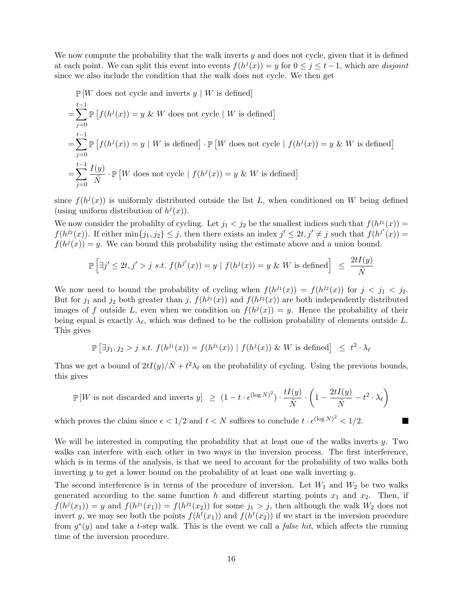We now compute the probability that the walk inverts  $y$  and does not cycle, given that it is defined at each point. We can split this event into events  $f(h^j(x)) = y$  for  $0 \le j \le t-1$ , which are disjoint since we also include the condition that the walk does not cycle. We then get

$$
\mathbb{P}\left[W \text{ does not cycle and inverts } y \mid W \text{ is defined}\right]
$$
\n
$$
= \sum_{j=0}^{t-1} \mathbb{P}\left[f(h^j(x)) = y \& W \text{ does not cycle} \mid W \text{ is defined}\right]
$$
\n
$$
= \sum_{j=0}^{t-1} \mathbb{P}\left[f(h^j(x)) = y \mid W \text{ is defined}\right] \cdot \mathbb{P}\left[W \text{ does not cycle} \mid f(h^j(x)) = y \& W \text{ is defined}\right]
$$
\n
$$
= \sum_{j=0}^{t-1} \frac{I(y)}{\tilde{N}} \cdot \mathbb{P}\left[W \text{ does not cycle} \mid f(h^j(x)) = y \& W \text{ is defined}\right]
$$

since  $f(h^j(x))$  is uniformly distributed outside the list L, when conditioned on W being defined (using uniform distribution of  $h^{j}(x)$ ).

We now consider the probalilty of cycling. Let  $j_1 < j_2$  be the smallest indices such that  $f(h^{j_1}(x)) =$  $f(h^{j_2}(x))$ . If either  $\min\{j_1, j_2\} \leq j$ , then there exists an index  $j' \leq 2t, j' \neq j$  such that  $f(h^{j'}(x)) =$  $f(h^{j}(x)) = y$ . We can bound this probability using the estimate above and a union bound.

$$
\mathbb{P}\left[\exists j'\leq 2t, j'>j \text{ s.t. } f(h^{j'}(x)) = y \mid f(h^{j}(x)) = y \&\ W \text{ is defined}\right] \leq \frac{2tI(y)}{\tilde{N}}
$$

We now need to bound the probability of cycling when  $f(h^{j_1}(x)) = f(h^{j_2}(x))$  for  $j < j_1 < j_2$ . But for  $j_1$  and  $j_2$  both greater than  $j$ ,  $f(h^{j_1}(x))$  and  $f(h^{j_2}(x))$  are both independently distributed images of f outside L, even when we condition on  $f(h^{j}(x)) = y$ . Hence the probability of their being equal is exactly  $\lambda_{\ell}$ , which was defined to be the collision probability of elements outside L. This gives

$$
\mathbb{P}\left[\exists j_1, j_2 > j \text{ s.t. } f(h^{j_1}(x)) = f(h^{j_1}(x)) \mid f(h^{j}(x)) \&\ W \text{ is defined}\right] \leq t^2 \cdot \lambda_\ell
$$

Thus we get a bound of  $2tI(y)/\tilde{N} + t^2\lambda_{\ell}$  on the probability of cycling. Using the previous bounds, this gives

$$
\mathbb{P}\left[W \text{ is not discarded and inverts } y\right] \geq (1 - t \cdot \epsilon^{(\log N)^2}) \cdot \frac{tI(y)}{\tilde{N}} \cdot \left(1 - \frac{2tI(y)}{\tilde{N}} - t^2 \cdot \lambda_{\ell}\right)
$$

which proves the claim since  $\epsilon < 1/2$  and  $t < N$  suffices to conclude  $t \cdot \epsilon^{(\log N)^2} < 1/2$ .

We will be interested in computing the probability that at least one of the walks inverts  $y$ . Two walks can interfere with each other in two ways in the inversion process. The first interference, which is in terms of the analysis, is that we need to account for the probability of two walks both inverting  $y$  to get a lower bound on the probability of at least one walk inverting  $y$ .

The second interference is in terms of the procedure of inversion. Let  $W_1$  and  $W_2$  be two walks generated according to the same function h and different starting points  $x_1$  and  $x_2$ . Then, if  $f(h^j(x_1)) = y$  and  $f(h^{j_1}(x_1)) = f(h^{j_2}(x_2))$  for some  $j_1 > j$ , then although the walk  $W_2$  does not invert y, we may see both the points  $f(h^t(x_1))$  and  $f(h^t(x_2))$  if we start in the inversion procedure from  $g^*(y)$  and take a t-step walk. This is the event we call a *false hit*, which affects the running time of the inversion procedure.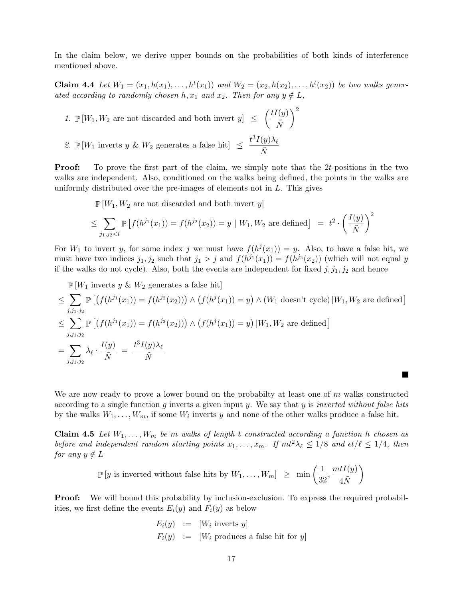In the claim below, we derive upper bounds on the probabilities of both kinds of interference mentioned above.

<span id="page-17-0"></span>**Claim 4.4** Let  $W_1 = (x_1, h(x_1), \ldots, h^t(x_1))$  and  $W_2 = (x_2, h(x_2), \ldots, h^t(x_2))$  be two walks generated according to randomly chosen h,  $x_1$  and  $x_2$ . Then for any  $y \notin L$ ,

1.  $\mathbb{P}[W_1, W_2]$  are not discarded and both invert  $y \leq \left( \frac{tI(y)}{\tilde{N}} \right)$  $\overline{\tilde{N}}$  $\setminus^2$ 

2.  $\mathbb{P}[W_1]$  inverts y &  $W_2$  generates a false hit $\leq \frac{t^3 I(y) \lambda_{\ell}}{\tilde{N}}$  $\overline{\tilde{N}}$ 

Proof: To prove the first part of the claim, we simply note that the 2t-positions in the two walks are independent. Also, conditioned on the walks being defined, the points in the walks are uniformly distributed over the pre-images of elements not in  $L$ . This gives

 $\mathbb{P}[W_1, W_2]$  are not discarded and both invert y

$$
\leq \sum_{j_1,j_2 < t} \mathbb{P}\left[ f(h^{j_1}(x_1)) = f(h^{j_2}(x_2)) = y \mid W_1, W_2 \text{ are defined} \right] = t^2 \cdot \left( \frac{I(y)}{\tilde{N}} \right)^2
$$

For  $W_1$  to invert y, for some index j we must have  $f(h^j(x_1)) = y$ . Also, to have a false hit, we must have two indices  $j_1, j_2$  such that  $j_1 > j$  and  $f(h^{j_1}(x_1)) = f(h^{j_2}(x_2))$  (which will not equal y if the walks do not cycle). Also, both the events are independent for fixed  $j, j_1, j_2$  and hence

 $\mathbb{P}[W_1]$  inverts y &  $W_2$  generates a false hit

$$
\leq \sum_{j,j_1,j_2} \mathbb{P}\left[\left(f(h^{j_1}(x_1)) = f(h^{j_2}(x_2))\right) \wedge \left(f(h^{j}(x_1)) = y\right) \wedge \left(W_1 \text{ doesn't cycle}\right) | W_1, W_2 \text{ are defined}\right]
$$
  

$$
\leq \sum_{j,j_1,j_2} \mathbb{P}\left[\left(f(h^{j_1}(x_1)) = f(h^{j_2}(x_2))\right) \wedge \left(f(h^{j}(x_1)) = y\right) | W_1, W_2 \text{ are defined}\right]
$$
  

$$
= \sum_{j,j_1,j_2} \lambda_{\ell} \cdot \frac{I(y)}{\tilde{N}} = \frac{t^3 I(y) \lambda_{\ell}}{\tilde{N}}
$$

We are now ready to prove a lower bound on the probability at least one of  $m$  walks constructed according to a single function g inverts a given input y. We say that y is *inverted without false hits* by the walks  $W_1, \ldots, W_m$ , if some  $W_i$  inverts y and none of the other walks produce a false hit.

<span id="page-17-1"></span>**Claim 4.5** Let  $W_1, \ldots, W_m$  be m walks of length t constructed according a function h chosen as before and independent random starting points  $x_1, \ldots, x_m$ . If  $m t^2 \lambda_\ell \leq 1/8$  and  $\epsilon t/\ell \leq 1/4$ , then for any  $y \notin L$ 

$$
\mathbb{P}\left[y \text{ is inverted without false hits by } W_1,\ldots,W_m\right] \geq \min\left(\frac{1}{32},\frac{mtI(y)}{4\tilde{N}}\right)
$$

**Proof:** We will bound this probability by inclusion-exclusion. To express the required probabilities, we first define the events  $E_i(y)$  and  $F_i(y)$  as below

$$
E_i(y) := [W_i \text{ inverts } y]
$$
  

$$
F_i(y) := [W_i \text{ produces a false hit for } y]
$$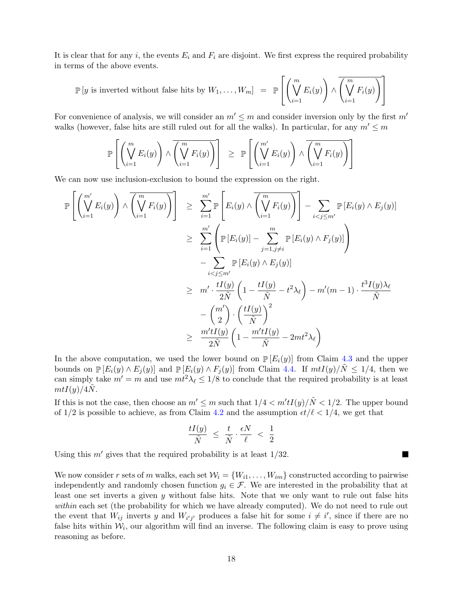It is clear that for any i, the events  $E_i$  and  $F_i$  are disjoint. We first express the required probability in terms of the above events.

$$
\mathbb{P}[y \text{ is inverted without false hits by } W_1,\ldots,W_m] = \mathbb{P}\left[\left(\bigvee_{i=1}^m E_i(y)\right) \wedge \overline{\left(\bigvee_{i=1}^m F_i(y)\right)}\right]
$$

For convenience of analysis, we will consider an  $m' \leq m$  and consider inversion only by the first  $m'$ walks (however, false hits are still ruled out for all the walks). In particular, for any  $m' \leq m$ 

$$
\mathbb{P}\left[\left(\bigvee_{i=1}^{m} E_i(y)\right) \wedge \overline{\left(\bigvee_{i=1}^{m} F_i(y)\right)}\right] \geq \mathbb{P}\left[\left(\bigvee_{i=1}^{m'} E_i(y)\right) \wedge \overline{\left(\bigvee_{i=1}^{m} F_i(y)\right)}\right]
$$

We can now use inclusion-exclusion to bound the expression on the right.

$$
\mathbb{P}\left[\left(\bigvee_{i=1}^{m'} E_i(y)\right) \wedge \overline{\left(\bigvee_{i=1}^{m} F_i(y)\right)}\right] \geq \sum_{i=1}^{m'} \mathbb{P}\left[E_i(y) \wedge \overline{\left(\bigvee_{i=1}^{m} F_i(y)\right)}\right] - \sum_{i < j \leq m'} \mathbb{P}\left[E_i(y) \wedge E_j(y)\right] \\
\geq \sum_{i=1}^{m'} \left(\mathbb{P}\left[E_i(y)\right] - \sum_{j=1, j\neq i}^{m} \mathbb{P}\left[E_i(y) \wedge F_j(y)\right]\right) \\
- \sum_{i < j \leq m'} \mathbb{P}\left[E_i(y) \wedge E_j(y)\right] \\
\geq m' \cdot \frac{tI(y)}{2\tilde{N}} \left(1 - \frac{tI(y)}{\tilde{N}} - t^2\lambda_\ell\right) - m'(m-1) \cdot \frac{t^3I(y)\lambda_\ell}{\tilde{N}} \\
- \left(\frac{m'}{2}\right) \cdot \left(\frac{tI(y)}{\tilde{N}}\right)^2 \\
\geq \frac{m'tI(y)}{2\tilde{N}} \left(1 - \frac{m'tI(y)}{\tilde{N}} - 2mt^2\lambda_\ell\right)
$$

In the above computation, we used the lower bound on  $\mathbb{P}[E_i(y)]$  from Claim [4.3](#page-15-0) and the upper bounds on  $\mathbb{P}[E_i(y) \wedge E_j(y)]$  and  $\mathbb{P}[E_i(y) \wedge F_j(y)]$  from Claim [4.4.](#page-17-0) If  $m t I(y)/N \leq 1/4$ , then we can simply take  $m' = m$  and use  $m t^2 \lambda_\ell \leq 1/8$  to conclude that the required probability is at least  $m t I(y)/4N$ .

If this is not the case, then choose an  $m' \leq m$  such that  $1/4 < m'tI(y)/\tilde{N} < 1/2$ . The upper bound of  $1/2$  is possible to achieve, as from Claim [4.2](#page-14-0) and the assumption  $\epsilon t/\ell < 1/4$ , we get that

$$
\frac{tI(y)}{\tilde{N}} \ \leq \ \frac{t}{\tilde{N}} \cdot \frac{\epsilon N}{\ell} \ < \ \frac{1}{2}
$$

H

Using this  $m'$  gives that the required probability is at least  $1/32$ .

We now consider r sets of m walks, each set  $W_i = \{W_{i1}, \ldots, W_{im}\}\)$  constructed according to pairwise independently and randomly chosen function  $g_i \in \mathcal{F}$ . We are interested in the probability that at least one set inverts a given y without false hits. Note that we only want to rule out false hits within each set (the probability for which we have already computed). We do not need to rule out the event that  $W_{ij}$  inverts y and  $W_{i'j'}$  produces a false hit for some  $i \neq i'$ , since if there are no false hits within  $W_i$ , our algorithm will find an inverse. The following claim is easy to prove using reasoning as before.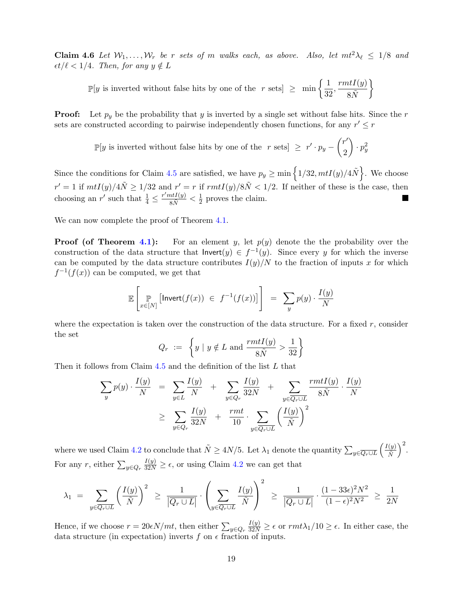Claim 4.6 Let  $W_1, \ldots, W_r$  be r sets of m walks each, as above. Also, let  $m t^2 \lambda_\ell \leq 1/8$  and  $\epsilon t/\ell < 1/4$ . Then, for any  $y \notin L$ 

 $\mathbb{P}[y]$  is inverted without false hits by one of the r sets  $\geq \min \left\{\frac{1}{2^n}\right\}$  $\frac{1}{32},\frac{rmtI(y)}{8\tilde{N}}$  $8\tilde{N}$  $\mathcal{L}$ 

**Proof:** Let  $p_y$  be the probability that y is inverted by a single set without false hits. Since the r sets are constructed according to pairwise independently chosen functions, for any  $r' \leq r$ 

> $\mathbb{P}[y \text{ is inverted without false hits by one of the } r \text{ sets}] \geq r' \cdot p_y - \binom{r'}{2}$ 2  $\Big) \cdot p_y^2$

Since the conditions for Claim [4.5](#page-17-1) are satisfied, we have  $p_y \ge \min\left\{1/32, mtI(y)/4\tilde{N}\right\}$ . We choose  $r' = 1$  if  $m t I(y)/4\tilde{N} \geq 1/32$  and  $r' = r$  if  $r m t I(y)/8\tilde{N} < 1/2$ . If neither of these is the case, then choosing an r' such that  $\frac{1}{4} \leq \frac{r'mtI(y)}{8\tilde{N}} < \frac{1}{2}$  $\frac{1}{2}$  proves the claim.

We can now complete the proof of Theorem [4.1.](#page-14-1)

**Proof (of Theorem [4.1\)](#page-14-1):** For an element y, let  $p(y)$  denote the the probability over the construction of the data structure that  $\text{Invert}(y) \in f^{-1}(y)$ . Since every y for which the inverse can be computed by the data structure contributes  $I(y)/N$  to the fraction of inputs x for which  $f^{-1}(f(x))$  can be computed, we get that

$$
\mathbb{E}\left[\mathop{\mathbb{P}}_{x\in [N]}\left[\mathsf{Invert}(f(x)) \in f^{-1}(f(x))\right]\right] = \sum_{y} p(y) \cdot \frac{I(y)}{N}
$$

where the expectation is taken over the construction of the data structure. For a fixed  $r$ , consider the set

$$
Q_r := \left\{ y \mid y \notin L \text{ and } \frac{rmtI(y)}{8\tilde{N}} > \frac{1}{32} \right\}
$$

Then it follows from Claim [4.5](#page-17-1) and the definition of the list L that

$$
\sum_{y} p(y) \cdot \frac{I(y)}{N} = \sum_{y \in L} \frac{I(y)}{N} + \sum_{y \in Q_r} \frac{I(y)}{32N} + \sum_{y \in \overline{Q_r \cup L}} \frac{rmtI(y)}{8\tilde{N}} \cdot \frac{I(y)}{N}
$$

$$
\geq \sum_{y \in Q_r} \frac{I(y)}{32N} + \frac{rmt}{10} \cdot \sum_{y \in \overline{Q_r \cup L}} \left(\frac{I(y)}{\tilde{N}}\right)^2
$$

where we used Claim [4.2](#page-14-0) to conclude that  $\tilde{N} \geq 4N/5$ . Let  $\lambda_1$  denote the quantity  $\sum_{y \in \overline{Q_r \cup L}} \left(\frac{I(y)}{\tilde{N}}\right)$  $\tilde{N}$  $\big)^2$ . For any r, either  $\sum_{y \in Q_r}$  $\frac{I(y)}{32N} \geq \epsilon$ , or using Claim [4.2](#page-14-0) we can get that

$$
\lambda_1 = \sum_{y \in \overline{Q_r \cup L}} \left(\frac{I(y)}{\tilde{N}}\right)^2 \ge \frac{1}{|\overline{Q_r \cup L}|} \cdot \left(\sum_{y \in \overline{Q_r \cup L}} \frac{I(y)}{\tilde{N}}\right)^2 \ge \frac{1}{|\overline{Q_r \cup L}|} \cdot \frac{(1-33\epsilon)^2 N^2}{(1-\epsilon)^2 N^2} \ge \frac{1}{2N}
$$

Hence, if we choose  $r = 20\epsilon N(mt)$ , then either  $\sum_{y \in Q_r}$  $\frac{I(y)}{32N} \geq \epsilon$  or  $rmt\lambda_1/10 \geq \epsilon$ . In either case, the data structure (in expectation) inverts f on  $\epsilon$  fraction of inputs.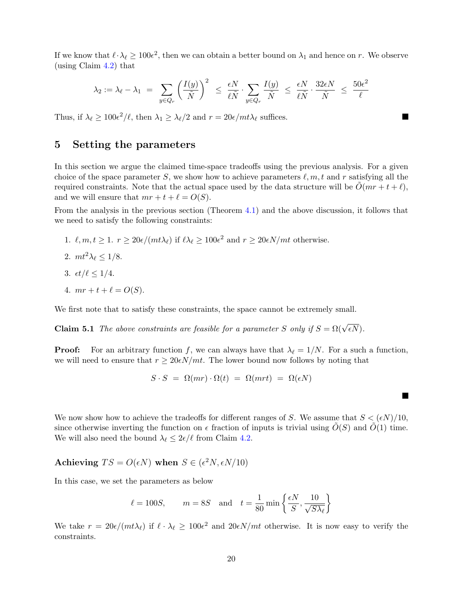If we know that  $\ell \cdot \lambda_{\ell} \geq 100\epsilon^2$ , then we can obtain a better bound on  $\lambda_1$  and hence on r. We observe (using Claim [4.2\)](#page-14-0) that

$$
\lambda_2 := \lambda_\ell - \lambda_1 \ = \ \sum_{y \in Q_r} \left( \frac{I(y)}{\tilde{N}} \right)^2 \ \le \ \frac{\epsilon N}{\ell \tilde{N}} \cdot \sum_{y \in Q_r} \frac{I(y)}{\tilde{N}} \ \le \ \frac{\epsilon N}{\ell \tilde{N}} \cdot \frac{32 \epsilon N}{\tilde{N}} \ \le \ \frac{50 \epsilon^2}{\ell}
$$

 $\overline{\phantom{a}}$ 

 $\blacksquare$ 

Thus, if  $\lambda_{\ell} \ge 100\epsilon^2/\ell$ , then  $\lambda_1 \ge \lambda_{\ell}/2$  and  $r = 20\epsilon/mt\lambda_{\ell}$  suffices.

## <span id="page-20-0"></span>5 Setting the parameters

In this section we argue the claimed time-space tradeoffs using the previous analysis. For a given choice of the space parameter S, we show how to achieve parameters  $\ell, m, t$  and r satisfying all the required constraints. Note that the actual space used by the data structure will be  $O(mr + t + \ell)$ , and we will ensure that  $mr + t + \ell = O(S)$ .

From the analysis in the previous section (Theorem [4.1\)](#page-14-1) and the above discussion, it follows that we need to satisfy the following constraints:

- 1.  $\ell, m, t \geq 1$ .  $r \geq 20\epsilon/(mt\lambda_{\ell})$  if  $\ell\lambda_{\ell} \geq 100\epsilon^2$  and  $r \geq 20\epsilon N(mt)$  otherwise.
- 2.  $mt^2\lambda_\ell \le 1/8$ .
- 3.  $\epsilon t / \ell \leq 1/4$ .
- 4.  $mr + t + \ell = O(S)$ .

We first note that to satisfy these constraints, the space cannot be extremely small.

**Claim 5.1** The above constraints are feasible for a parameter S only if  $S = \Omega(\sqrt{\epsilon N})$ .

**Proof:** For an arbitrary function f, we can always have that  $\lambda_{\ell} = 1/N$ . For a such a function, we will need to ensure that  $r \geq 20 \epsilon N/mt$ . The lower bound now follows by noting that

$$
S \cdot S = \Omega(mr) \cdot \Omega(t) = \Omega(mrt) = \Omega(\epsilon N)
$$

We now show how to achieve the tradeoffs for different ranges of S. We assume that  $S < (\epsilon N)/10$ , since otherwise inverting the function on  $\epsilon$  fraction of inputs is trivial using  $\tilde{O}(S)$  and  $\tilde{O}(1)$  time. We will also need the bound  $\lambda_\ell \leq 2\epsilon/\ell$  from Claim [4.2.](#page-14-0)

Achieving  $TS = O(\epsilon N)$  when  $S \in (\epsilon^2 N, \epsilon N/10)$ 

In this case, we set the parameters as below

$$
\ell = 100S,
$$
  $m = 8S$  and  $t = \frac{1}{80} \min \left\{ \frac{\epsilon N}{S}, \frac{10}{\sqrt{S\lambda_{\ell}}} \right\}$ 

We take  $r = 20\epsilon/(mt\lambda_\ell)$  if  $\ell \cdot \lambda_\ell \geq 100\epsilon^2$  and  $20\epsilon N/mt$  otherwise. It is now easy to verify the constraints.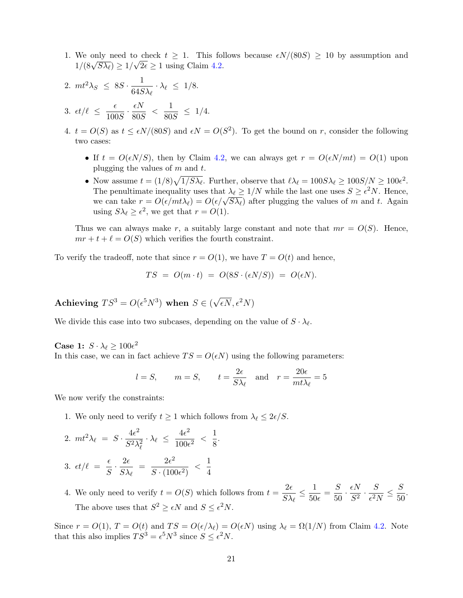- 1. We only need to check  $t \geq 1$ . This follows because  $\epsilon N/(80S) \geq 10$  by assumption and We omly need to check  $t \geq 1$ . This for<br> $1/(8\sqrt{5\lambda_\ell}) \geq 1/\sqrt{2\epsilon} \geq 1$  using Claim [4.2.](#page-14-0)
- 2.  $mt^2\lambda_S \leq 8S \cdot \frac{1}{64S}$  $\frac{1}{64S\lambda_{\ell}}\cdot \lambda_{\ell} \leq 1/8.$ 3.  $\epsilon t/\ell \leq \frac{\epsilon}{100}$  $\frac{\epsilon}{100S} \cdot \frac{\epsilon N}{80S}$  $\frac{\epsilon N}{80 S}$  <  $\frac{1}{80}$  $\frac{1}{80S} \leq 1/4.$
- 4.  $t = O(S)$  as  $t \le \epsilon N/(80S)$  and  $\epsilon N = O(S^2)$ . To get the bound on r, consider the following two cases:
	- If  $t = O(\epsilon N/S)$ , then by Claim [4.2,](#page-14-0) we can always get  $r = O(\epsilon N/mt) = O(1)$  upon plugging the values of  $m$  and  $t$ .
	- Now assume  $t = (1/8)\sqrt{1/S\lambda_\ell}$ . Further, observe that  $\ell \lambda_\ell = 100S\lambda_\ell \geq 100S/N \geq 100\epsilon^2$ . The penultimate inequality uses that  $\lambda_{\ell} \geq 1/N$  while the last one uses  $S \geq \epsilon^2 N$ . Hence, The pendicularity uses that  $\lambda \ell \leq 1/N$  while the last one uses  $S \leq \epsilon N$ . Hence,<br>we can take  $r = O(\epsilon/mt\lambda_\ell) = O(\epsilon/\sqrt{S\lambda_\ell})$  after plugging the values of m and t. Again using  $S\lambda_\ell \geq \epsilon^2$ , we get that  $r = O(1)$ .

Thus we can always make r, a suitably large constant and note that  $mr = O(S)$ . Hence,  $mr + t + \ell = O(S)$  which verifies the fourth constraint.

To verify the tradeoff, note that since  $r = O(1)$ , we have  $T = O(t)$  and hence,

$$
TS = O(m \cdot t) = O(8S \cdot (\epsilon N/S)) = O(\epsilon N).
$$

Achieving  $TS^3 = O(\epsilon^5 N^3)$  when  $S \in ($ √  $\overline{\epsilon N}, \epsilon^2 N)$ 

We divide this case into two subcases, depending on the value of  $S \cdot \lambda_{\ell}$ .

Case 1:  $S \cdot \lambda_{\ell} \ge 100 \epsilon^2$ In this case, we can in fact achieve  $TS = O(\epsilon N)$  using the following parameters:

$$
l = S
$$
,  $m = S$ ,  $t = \frac{2\epsilon}{S\lambda_{\ell}}$  and  $r = \frac{20\epsilon}{m t \lambda_{\ell}} = 5$ 

We now verify the constraints:

- 1. We only need to verify  $t \ge 1$  which follows from  $\lambda_{\ell} \le 2\epsilon/S$ .
- 2.  $mt^2\lambda_\ell = S \cdot \frac{4\epsilon^2}{\zeta^2}$  $S^2\lambda_\ell^2$  $\cdot \lambda_{\ell} \leq \frac{4\epsilon^2}{100}$  $\frac{4\epsilon^2}{100\epsilon^2} < \frac{1}{8}$  $\frac{1}{8}$ .
- 3.  $\epsilon t/\ell = \frac{\epsilon}{c}$  $rac{\epsilon}{S} \cdot \frac{2\epsilon}{S\lambda}$  $\frac{2\epsilon}{S\lambda_\ell} = \frac{2\epsilon^2}{S\cdot(100)}$  $\frac{2\epsilon^2}{S\cdot (100\epsilon^2)}$  <  $\frac{1}{4}$ 4
- 4. We only need to verify  $t = O(S)$  which follows from  $t = \frac{2\epsilon}{\epsilon N}$  $\frac{2\epsilon}{S\lambda_\ell}\leq \frac{1}{50}$  $\frac{1}{50\epsilon} = \frac{S}{50}$  $rac{S}{50} \cdot \frac{\epsilon N}{S^2}$  $\frac{\epsilon N}{S^2} \cdot \frac{S}{\epsilon^2 I}$  $\frac{S}{\epsilon^2 N} \leq \frac{S}{50}$  $\frac{6}{50}$ . The above uses that  $S^2 \geq \epsilon N$  and  $S \leq \epsilon^2 N$ .

Since  $r = O(1)$ ,  $T = O(t)$  and  $TS = O(\epsilon/\lambda_{\ell}) = O(\epsilon N)$  using  $\lambda_{\ell} = \Omega(1/N)$  from Claim [4.2.](#page-14-0) Note that this also implies  $TS^3 = \epsilon^5 N^3$  since  $S \leq \epsilon^2 N$ .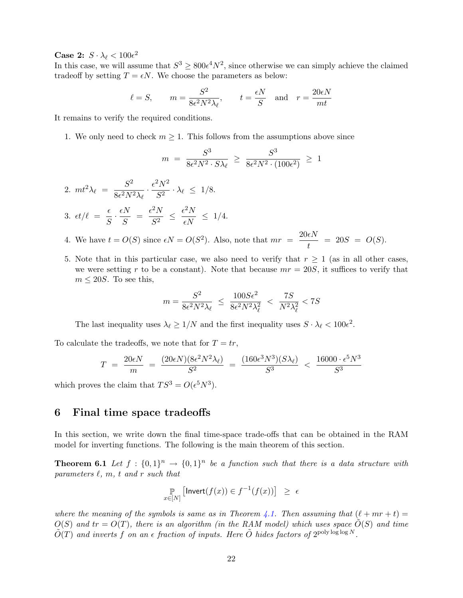## Case 2:  $S \cdot \lambda_{\ell} < 100\epsilon^2$

In this case, we will assume that  $S^3 \geq 800 \epsilon^4 N^2$ , since otherwise we can simply achieve the claimed tradeoff by setting  $T = \epsilon N$ . We choose the parameters as below:

$$
\ell = S
$$
,  $m = \frac{S^2}{8\epsilon^2 N^2 \lambda_{\ell}}, \qquad t = \frac{\epsilon N}{S}$  and  $r = \frac{20\epsilon N}{mt}$ 

It remains to verify the required conditions.

1. We only need to check  $m \geq 1$ . This follows from the assumptions above since

$$
m = \frac{S^3}{8\epsilon^2 N^2 \cdot S\lambda_\ell} \ge \frac{S^3}{8\epsilon^2 N^2 \cdot (100\epsilon^2)} \ge 1
$$

2.  $m t^2 \lambda_\ell = \frac{S^2}{8 \epsilon^2 N^2}$  $\frac{S^2}{8\epsilon^2N^2\lambda_\ell}\cdot\frac{\epsilon^2N^2}{S^2}$  $\frac{1}{S^2} \cdot \lambda_\ell \leq 1/8.$ 3.  $\epsilon t/\ell = \frac{\epsilon}{c}$  $\frac{\epsilon}{S} \cdot \frac{\epsilon N}{S}$  $\frac{\epsilon N}{S} = \frac{\epsilon^2 N}{S^2}$  $\frac{\epsilon^2 N}{S^2} \leq \frac{\epsilon^2 N}{\epsilon N}$  $\frac{1}{\epsilon N} \leq 1/4.$ 

- 4. We have  $t = O(S)$  since  $\epsilon N = O(S^2)$ . Also, note that  $mr = \frac{20\epsilon N}{I}$  $\frac{dx}{t}$  = 20S = O(S).
- 5. Note that in this particular case, we also need to verify that  $r \geq 1$  (as in all other cases, we were setting r to be a constant). Note that because  $mr = 20S$ , it suffices to verify that  $m \leq 20S$ . To see this,

$$
m = \frac{S^2}{8\epsilon^2 N^2 \lambda_\ell} \le \frac{100S\epsilon^2}{8\epsilon^2 N^2 \lambda_\ell^2} < \frac{7S}{N^2 \lambda_\ell^2} < 7S
$$

The last inequality uses  $\lambda_{\ell} \ge 1/N$  and the first inequality uses  $S \cdot \lambda_{\ell} < 100 \epsilon^2$ .

To calculate the tradeoffs, we note that for  $T = tr$ ,

$$
T = \frac{20\epsilon N}{m} = \frac{(20\epsilon N)(8\epsilon^2 N^2 \lambda_\ell)}{S^2} = \frac{(160\epsilon^3 N^3)(S\lambda_\ell)}{S^3} < \frac{16000 \cdot \epsilon^5 N^3}{S^3}
$$

which proves the claim that  $TS^3 = O(\epsilon^5 N^3)$ .

### 6 Final time space tradeoffs

In this section, we write down the final time-space trade-offs that can be obtained in the RAM model for inverting functions. The following is the main theorem of this section.

**Theorem 6.1** Let  $f : \{0,1\}^n \rightarrow \{0,1\}^n$  be a function such that there is a data structure with parameters  $\ell$ , m, t and r such that

<span id="page-22-0"></span>
$$
\mathop{\mathbb{P}}_{x \in [N]} [\mathsf{Invert}(f(x)) \in f^{-1}(f(x))] \geq \epsilon
$$

where the meaning of the symbols is same as in Theorem [4.1.](#page-14-1) Then assuming that  $(\ell + mr + t) =$  $O(S)$  and  $tr = O(T)$ , there is an algorithm (in the RAM model) which uses space  $\tilde{O}(S)$  and time  $\tilde{O}(T)$  and inverts f on an  $\epsilon$  fraction of inputs. Here  $\tilde{O}$  hides factors of  $2^{\text{polylog log}} N$ .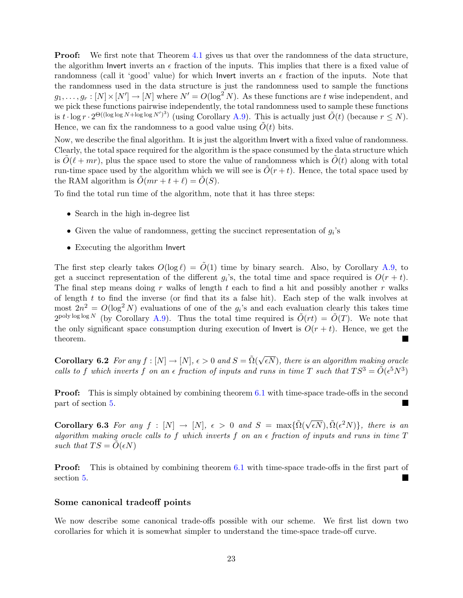**Proof:** We first note that Theorem [4.1](#page-14-1) gives us that over the randomness of the data structure, the algorithm Invert inverts an  $\epsilon$  fraction of the inputs. This implies that there is a fixed value of randomness (call it 'good' value) for which Invert inverts an  $\epsilon$  fraction of the inputs. Note that the randomness used in the data structure is just the randomness used to sample the functions  $g_1, \ldots, g_r : [N] \times [N'] \to [N]$  where  $N' = O(\log^2 N)$ . As these functions are t wise independent, and we pick these functions pairwise independently, the total randomness used to sample these functions is  $t \cdot \log r \cdot 2^{\Theta((\log \log N + \log \log N')^3)}$  (using Corollary [A.9\)](#page-39-0). This is actually just  $\tilde{O}(t)$  (because  $r \le N$ ). Hence, we can fix the randomness to a good value using  $\tilde{O}(t)$  bits.

Now, we describe the final algorithm. It is just the algorithm Invert with a fixed value of randomness. Clearly, the total space required for the algorithm is the space consumed by the data structure which is  $\tilde{O}(\ell + mr)$ , plus the space used to store the value of randomness which is  $\tilde{O}(t)$  along with total run-time space used by the algorithm which we will see is  $\tilde{O}(r+t)$ . Hence, the total space used by the RAM algorithm is  $\tilde{O}(mr + t + \ell) = \tilde{O}(S)$ .

To find the total run time of the algorithm, note that it has three steps:

- Search in the high in-degree list
- Given the value of randomness, getting the succinct representation of  $g_i$ 's
- Executing the algorithm Invert

The first step clearly takes  $O(\log \ell) = O(1)$  time by binary search. Also, by Corollary [A.9,](#page-39-0) to get a succinct representation of the different  $g_i$ 's, the total time and space required is  $O(r + t)$ . The final step means doing r walks of length t each to find a hit and possibly another r walks of length  $t$  to find the inverse (or find that its a false hit). Each step of the walk involves at most  $2n^2 = O(\log^2 N)$  evaluations of one of the  $g_i$ 's and each evaluation clearly this takes time 2<sup>poly log log</sup> N (by Corollary [A.9\)](#page-39-0). Thus the total time required is  $\tilde{O}(rt) = \tilde{O}(T)$ . We note that the only significant space consumption during execution of lnvert is  $O(r + t)$ . Hence, we get the theorem.

<span id="page-23-0"></span>Corollary 6.2 For any  $f : [N] \to [N]$ ,  $\epsilon > 0$  and  $S = \tilde{\Omega}(\sqrt{N})$  $\epsilon N),$  there is an algorithm making oracle calls to f which inverts f on an  $\epsilon$  fraction of inputs and runs in time T such that  $TS^3 = \tilde{O}(\epsilon^5 N^3)$ 

**Proof:** This is simply obtained by combining theorem [6.1](#page-22-0) with time-space trade-offs in the second part of section [5.](#page-20-0)

<span id="page-23-1"></span>Corollary 6.3 For any  $f : [N] \to [N], \epsilon > 0$  and  $S = \max{\{\tilde{\Omega}(\sqrt{\epsilon N}), \tilde{\Omega}(\epsilon^2 N)\}}$ , there is an algorithm making oracle calls to f which inverts f on an  $\epsilon$  fraction of inputs and runs in time  $T$ such that  $TS = O(\epsilon N)$ 

**Proof:** This is obtained by combining theorem [6.1](#page-22-0) with time-space trade-offs in the first part of section [5.](#page-20-0)

#### Some canonical tradeoff points

We now describe some canonical trade-offs possible with our scheme. We first list down two corollaries for which it is somewhat simpler to understand the time-space trade-off curve.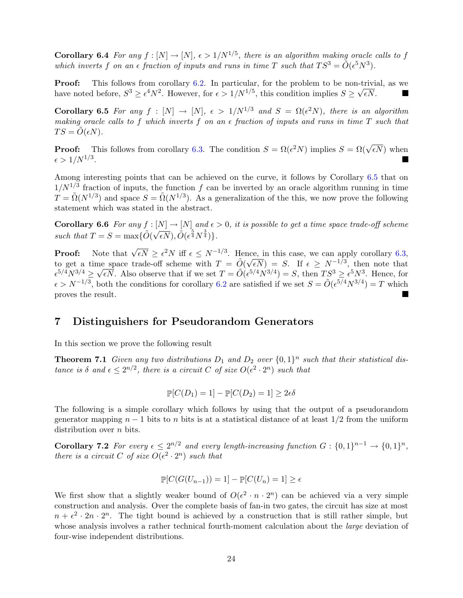**Corollary 6.4** For any  $f : [N] \to [N]$ ,  $\epsilon > 1/N^{1/5}$ , there is an algorithm making oracle calls to f which inverts f on an  $\epsilon$  fraction of inputs and runs in time T such that  $TS^3 = \tilde{O}(\epsilon^5 N^3)$ .

**Proof:** This follows from corollary [6.2.](#page-23-0) In particular, for the problem to be non-trivial, as we have noted before,  $S^3 \ge \epsilon^4 N^2$ . However, for  $\epsilon > 1/N^{1/5}$ , this condition implies  $S \ge \sqrt{\epsilon N}$ .

<span id="page-24-1"></span>**Corollary 6.5** For any  $f : [N] \to [N]$ ,  $\epsilon > 1/N^{1/3}$  and  $S = \Omega(\epsilon^2 N)$ , there is an algorithm making oracle calls to f which inverts f on an  $\epsilon$  fraction of inputs and runs in time T such that  $TS = \tilde{O}(\epsilon N).$ 

**Proof:** This follows from corollary [6.3.](#page-23-1) The condition  $S = \Omega(\epsilon^2 N)$  implies  $S = \Omega(\sqrt{\epsilon N})$  when  $\epsilon > 1/N^{1/3}.$ 

Among interesting points that can be achieved on the curve, it follows by Corollary [6.5](#page-24-1) that on  $1/N^{1/3}$  fraction of inputs, the function f can be inverted by an oracle algorithm running in time  $T = \tilde{\Omega}(N^{1/3})$  and space  $S = \tilde{\Omega}(N^{1/3})$ . As a generalization of the this, we now prove the following statement which was stated in the abstract.

**Corollary 6.6** For any  $f : [N] \to [N]$  and  $\epsilon > 0$ , it is possible to get a time space trade-off scheme such that  $T = S = \max\{\tilde{O}(\sqrt{\epsilon N}), \tilde{O}(\epsilon^{\frac{5}{4}}N^{\frac{3}{4}})\}.$ 

**Proof:** Note that  $\sqrt{\epsilon N} \geq \epsilon^2 N$  iff  $\epsilon \leq N^{-1/3}$ . Hence, in this case, we can apply corollary [6.3,](#page-23-1) to get a time space trade-off scheme with  $T = \tilde{O}(\sqrt{\epsilon N}) = S$ . If  $\epsilon \ge N^{-1/3}$ , then note that  $\epsilon^{5/4}N^{3/4} \geq \sqrt{\epsilon N}$ . Also observe that if we set  $T = \tilde{O}(\epsilon^{5/4}N^{3/4}) = S$ , then  $TS^3 \geq \epsilon^{5}N^3$ . Hence, for  $\epsilon > N^{-1/3}$ , both the conditions for corollary [6.2](#page-23-0) are satisfied if we set  $S = \tilde{O}(\epsilon^{5/4} N^{3/4}) = T$  which proves the result. П

## <span id="page-24-0"></span>7 Distinguishers for Pseudorandom Generators

In this section we prove the following result

**Theorem 7.1** Given any two distributions  $D_1$  and  $D_2$  over  $\{0,1\}^n$  such that their statistical distance is  $\delta$  and  $\epsilon \leq 2^{n/2}$ , there is a circuit C of size  $O(\epsilon^2 \cdot 2^n)$  such that

<span id="page-24-2"></span>
$$
\mathbb{P}[C(D_1) = 1] - \mathbb{P}[C(D_2) = 1] \ge 2\epsilon\delta
$$

The following is a simple corollary which follows by using that the output of a pseudorandom generator mapping  $n-1$  bits to n bits is at a statistical distance of at least  $1/2$  from the uniform distribution over *n* bits.

**Corollary 7.2** For every  $\epsilon \leq 2^{n/2}$  and every length-increasing function  $G: \{0,1\}^{n-1} \to \{0,1\}^n$ , there is a circuit C of size  $O(\epsilon^2 \cdot 2^n)$  such that

$$
\mathbb{P}[C(G(U_{n-1}))=1]-\mathbb{P}[C(U_n)=1]\geq \epsilon
$$

We first show that a slightly weaker bound of  $O(\epsilon^2 \cdot n \cdot 2^n)$  can be achieved via a very simple construction and analysis. Over the complete basis of fan-in two gates, the circuit has size at most  $n + \epsilon^2 \cdot 2n \cdot 2^n$ . The tight bound is achieved by a construction that is still rather simple, but whose analysis involves a rather technical fourth-moment calculation about the *large* deviation of four-wise independent distributions.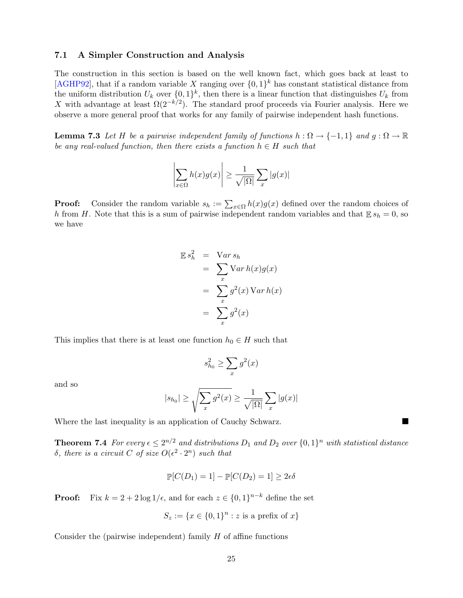### <span id="page-25-1"></span>7.1 A Simpler Construction and Analysis

The construction in this section is based on the well known fact, which goes back at least to [\[AGHP92\]](#page-36-3), that if a random variable X ranging over  $\{0,1\}^k$  has constant statistical distance from the uniform distribution  $U_k$  over  $\{0,1\}^k$ , then there is a linear function that distinguishes  $U_k$  from X with advantage at least  $\Omega(2^{-k/2})$ . The standard proof proceeds via Fourier analysis. Here we observe a more general proof that works for any family of pairwise independent hash functions.

<span id="page-25-0"></span>**Lemma 7.3** Let H be a pairwise independent family of functions  $h : \Omega \to \{-1,1\}$  and  $g : \Omega \to \mathbb{R}$ be any real-valued function, then there exists a function  $h \in H$  such that

$$
\left|\sum_{x\in\Omega} h(x)g(x)\right| \ge \frac{1}{\sqrt{|\Omega|}}\sum_{x}|g(x)|
$$

**Proof:** Consider the random variable  $s_h := \sum_{x \in \Omega} h(x)g(x)$  defined over the random choices of h from H. Note that this is a sum of pairwise independent random variables and that  $\mathbb{E} s_h = 0$ , so we have

$$
\mathbb{E} s_h^2 = \text{Var} s_h
$$
  
= 
$$
\sum_x \text{Var} h(x) g(x)
$$
  
= 
$$
\sum_x g^2(x) \text{Var} h(x)
$$
  
= 
$$
\sum_x g^2(x)
$$

This implies that there is at least one function  $h_0 \in H$  such that

$$
s_{h_0}^2 \ge \sum_x g^2(x)
$$

and so

$$
|s_{h_0}| \ge \sqrt{\sum_x g^2(x)} \ge \frac{1}{\sqrt{|\Omega|}} \sum_x |g(x)|
$$

 $\blacksquare$ 

Where the last inequality is an application of Cauchy Schwarz.

**Theorem 7.4** For every  $\epsilon \leq 2^{n/2}$  and distributions  $D_1$  and  $D_2$  over  $\{0,1\}^n$  with statistical distance δ, there is a circuit C of size  $O(ε<sup>2</sup> · 2<sup>n</sup>)$  such that

$$
\mathbb{P}[C(D_1) = 1] - \mathbb{P}[C(D_2) = 1] \ge 2\epsilon\delta
$$

**Proof:** Fix  $k = 2 + 2 \log(1/\epsilon)$ , and for each  $z \in \{0, 1\}^{n-k}$  define the set

$$
S_z := \{x \in \{0,1\}^n : z \text{ is a prefix of } x\}
$$

Consider the (pairwise independent) family  $H$  of affine functions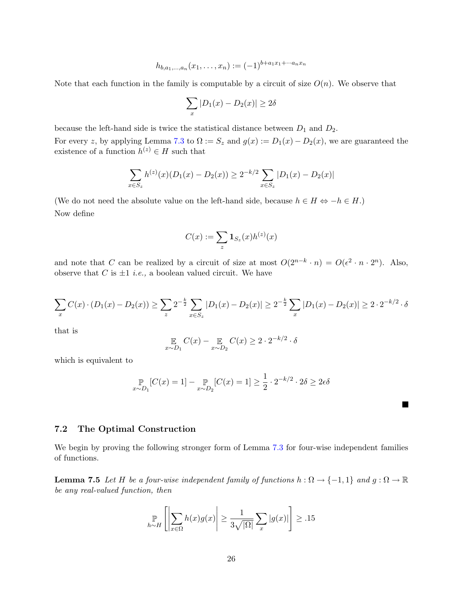$$
h_{b,a_1,\dots,a_n}(x_1,\dots,x_n) := (-1)^{b+a_1x_1+\dots+a_nx_n}
$$

Note that each function in the family is computable by a circuit of size  $O(n)$ . We observe that

$$
\sum_{x} |D_1(x) - D_2(x)| \ge 2\delta
$$

because the left-hand side is twice the statistical distance between  $D_1$  and  $D_2$ .

For every z, by applying Lemma [7.3](#page-25-0) to  $\Omega := S_z$  and  $g(x) := D_1(x) - D_2(x)$ , we are guaranteed the existence of a function  $h^{(z)} \in H$  such that

$$
\sum_{x \in S_z} h^{(z)}(x)(D_1(x) - D_2(x)) \ge 2^{-k/2} \sum_{x \in S_z} |D_1(x) - D_2(x)|
$$

(We do not need the absolute value on the left-hand side, because  $h \in H \Leftrightarrow -h \in H$ .) Now define

$$
C(x) := \sum_z \mathbf{1}_{S_z}(x) h^{(z)}(x)
$$

and note that C can be realized by a circuit of size at most  $O(2^{n-k} \cdot n) = O(\epsilon^2 \cdot n \cdot 2^n)$ . Also, observe that C is  $\pm 1$  *i.e.*, a boolean valued circuit. We have

$$
\sum_{x} C(x) \cdot (D_1(x) - D_2(x)) \ge \sum_{x} 2^{-\frac{k}{2}} \sum_{x \in S_x} |D_1(x) - D_2(x)| \ge 2^{-\frac{k}{2}} \sum_{x} |D_1(x) - D_2(x)| \ge 2 \cdot 2^{-k/2} \cdot \delta
$$

that is

$$
\mathop{\mathbb{E}}_{x \sim D_1} C(x) - \mathop{\mathbb{E}}_{x \sim D_2} C(x) \ge 2 \cdot 2^{-k/2} \cdot \delta
$$

which is equivalent to

$$
\mathop{\mathbb{P}}_{x \sim D_1} [C(x) = 1] - \mathop{\mathbb{P}}_{x \sim D_2} [C(x) = 1] \ge \frac{1}{2} \cdot 2^{-k/2} \cdot 2\delta \ge 2\epsilon\delta
$$

Ш

### 7.2 The Optimal Construction

<span id="page-26-0"></span>We begin by proving the following stronger form of Lemma [7.3](#page-25-0) for four-wise independent families of functions.

**Lemma 7.5** Let H be a four-wise independent family of functions  $h : \Omega \to \{-1,1\}$  and  $g : \Omega \to \mathbb{R}$ be any real-valued function, then

$$
\mathop{\mathbb{P}}_{h \sim H} \left[ \left| \sum_{x \in \Omega} h(x) g(x) \right| \ge \frac{1}{3\sqrt{|\Omega|}} \sum_{x} |g(x)| \right] \ge .15
$$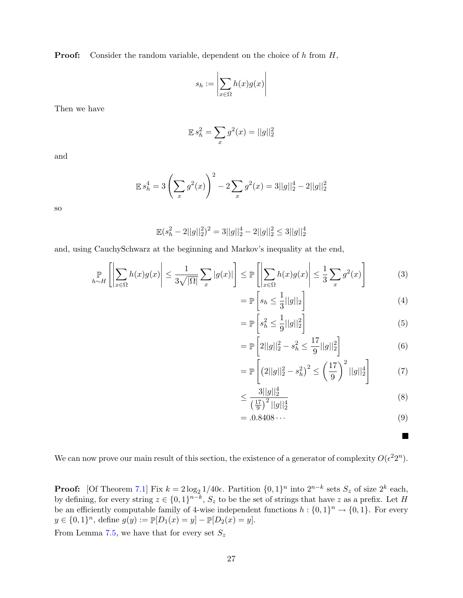**Proof:** Consider the random variable, dependent on the choice of  $h$  from  $H$ ,

$$
s_h := \left| \sum_{x \in \Omega} h(x)g(x) \right|
$$

Then we have

$$
\mathbb{E}\,s_h^2 = \sum_x g^2(x) = ||g||_2^2
$$

and

$$
\mathbb{E}\,s_h^4 = 3\left(\sum_x g^2(x)\right)^2 - 2\sum_x g^2(x) = 3||g||_2^4 - 2||g||_2^2
$$

so

$$
\mathbb{E}(s_h^2 - 2||g||_2^2)^2 = 3||g||_2^4 - 2||g||_2^2 \le 3||g||_2^4
$$

and, using CauchySchwarz at the beginning and Markov's inequality at the end,

$$
\mathop{\mathbb{P}}_{h \sim H} \left[ \left| \sum_{x \in \Omega} h(x) g(x) \right| \le \frac{1}{3\sqrt{|\Omega|}} \sum_{x} |g(x)| \right] \le \mathop{\mathbb{P}}_{x} \left[ \left| \sum_{x \in \Omega} h(x) g(x) \right| \le \frac{1}{3} \sum_{x} g^{2}(x) \right]
$$
(3)

$$
= \mathbb{P}\left[s_h \le \frac{1}{3}||g||_2\right] \tag{4}
$$

$$
= \mathbb{P}\left[s_h^2 \le \frac{1}{9}||g||_2^2\right] \tag{5}
$$

$$
= \mathbb{P}\left[2||g||_2^2 - s_h^2 \le \frac{17}{9}||g||_2^2\right] \tag{6}
$$

$$
= \mathbb{P}\left[\left(2||g||_2^2 - s_h^2\right)^2 \le \left(\frac{17}{9}\right)^2 ||g||_2^4\right] \tag{7}
$$

$$
\leq \frac{3||g||_2^4}{\left(\frac{17}{9}\right)^2||g||_2^4} \tag{8}
$$

$$
= .0.8408\cdots \tag{9}
$$

 $\blacksquare$ 

We can now prove our main result of this section, the existence of a generator of complexity  $O(\epsilon^2 2^n)$ .

**Proof:** [Of Theorem [7.1\]](#page-24-2) Fix  $k = 2\log_2 1/40\epsilon$ . Partition  $\{0, 1\}^n$  into  $2^{n-k}$  sets  $S_z$  of size  $2^k$  each, by defining, for every string  $z \in \{0,1\}^{n-k}$ ,  $S_z$  to be the set of strings that have z as a prefix. Let H be an efficiently computable family of 4-wise independent functions  $h: \{0,1\}^n \to \{0,1\}$ . For every  $y \in \{0,1\}^n$ , define  $g(y) := \mathbb{P}[D_1(x) = y] - \mathbb{P}[D_2(x) = y]$ .

From Lemma [7.5,](#page-26-0) we have that for every set  $S_z$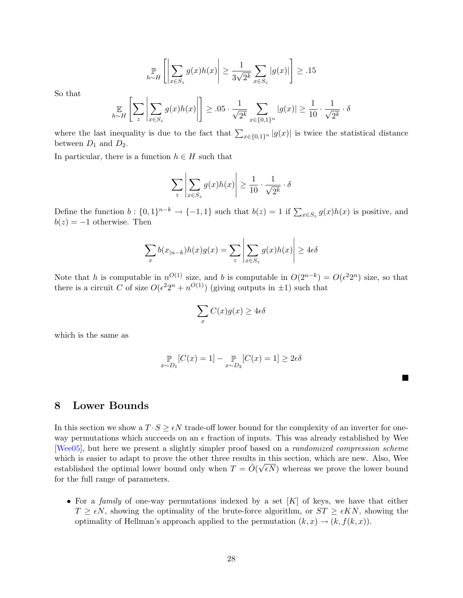$$
\mathop{\mathbb{P}}_{h \sim H} \left[ \left| \sum_{x \in S_z} g(x) h(x) \right| \ge \frac{1}{3\sqrt{2^k}} \sum_{x \in S_z} |g(x)| \right] \ge .15
$$

<span id="page-28-1"></span>So that

$$
\mathop{\mathbb{E}}_{h \sim H} \left[ \sum_{z} \left| \sum_{x \in S_z} g(x) h(x) \right| \right] \geq .05 \cdot \frac{1}{\sqrt{2^k}} \sum_{x \in \{0, 1\}^n} |g(x)| \geq \frac{1}{10} \cdot \frac{1}{\sqrt{2^k}} \cdot \delta
$$

where the last inequality is due to the fact that  $\sum_{x \in \{0,1\}^n} |g(x)|$  is twice the statistical distance between  $D_1$  and  $D_2$ .

In particular, there is a function  $h \in H$  such that

$$
\sum_{z} \left| \sum_{x \in S_z} g(x)h(x) \right| \ge \frac{1}{10} \cdot \frac{1}{\sqrt{2^k}} \cdot \delta
$$

Define the function  $b: \{0,1\}^{n-k} \to \{-1,1\}$  such that  $b(z) = 1$  if  $\sum_{x \in S_z} g(x)h(x)$  is positive, and  $b(z) = -1$  otherwise. Then

$$
\sum_{x} b(x_{|n-k})h(x)g(x) = \sum_{z} \left| \sum_{x \in S_z} g(x)h(x) \right| \ge 4\epsilon\delta
$$

Note that h is computable in  $n^{O(1)}$  size, and h is computable in  $O(2^{n-k}) = O(\epsilon^2 2^n)$  size, so that there is a circuit C of size  $O(\epsilon^2 2^n + n^{O(1)})$  (giving outputs in  $\pm 1$ ) such that

$$
\sum_{x} C(x)g(x) \ge 4\epsilon \delta
$$

which is the same as

$$
\mathop{\mathbb{P}}_{x \sim D_1} [C(x) = 1] - \mathop{\mathbb{P}}_{x \sim D_2} [C(x) = 1] \ge 2\epsilon\delta
$$

 $\blacksquare$ 

## <span id="page-28-0"></span>8 Lower Bounds

In this section we show a  $T \cdot S \geq \epsilon N$  trade-off lower bound for the complexity of an inverter for oneway permutations which succeeds on an  $\epsilon$  fraction of inputs. This was already established by Wee [\[Wee05\]](#page-37-3), but here we present a slightly simpler proof based on a randomized compression scheme which is easier to adapt to prove the other three results in this section, which are new. Also, Wee established the optimal lower bound only when  $T = \tilde{O}(\sqrt{\epsilon N})$  whereas we prove the lower bound for the full range of parameters.

• For a family of one-way permutations indexed by a set  $[K]$  of keys, we have that either  $T \geq \epsilon N$ , showing the optimality of the brute-force algorithm, or  $ST \geq \epsilon KN$ , showing the optimality of Hellman's approach applied to the permutation  $(k, x) \rightarrow (k, f(k, x))$ .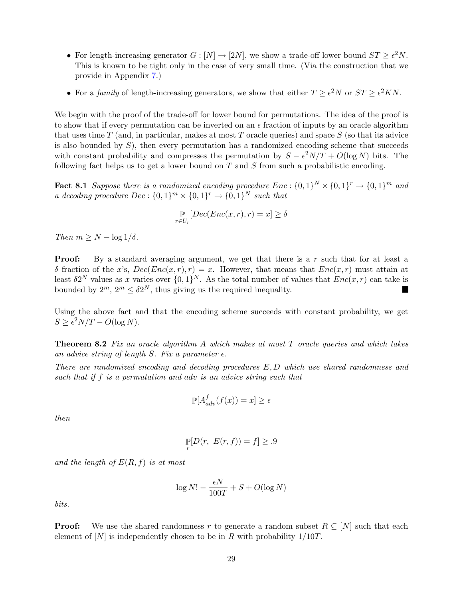- For length-increasing generator  $G : [N] \to [2N]$ , we show a trade-off lower bound  $ST \geq \epsilon^2 N$ . This is known to be tight only in the case of very small time. (Via the construction that we provide in Appendix [7.](#page-24-0))
- For a family of length-increasing generators, we show that either  $T \geq \epsilon^2 N$  or  $ST \geq \epsilon^2 KN$ .

We begin with the proof of the trade-off for lower bound for permutations. The idea of the proof is to show that if every permutation can be inverted on an  $\epsilon$  fraction of inputs by an oracle algorithm that uses time  $T$  (and, in particular, makes at most  $T$  oracle queries) and space  $S$  (so that its advice is also bounded by  $S$ ), then every permutation has a randomized encoding scheme that succeeds with constant probability and compresses the permutation by  $S - \epsilon^2 N/T + O(\log N)$  bits. The following fact helps us to get a lower bound on  $T$  and  $S$  from such a probabilistic encoding.

**Fact 8.1** Suppose there is a randomized encoding procedure  $Enc: \{0,1\}^N \times \{0,1\}^r \rightarrow \{0,1\}^m$  and a decoding procedure  $Dec: \{0,1\}^m \times \{0,1\}^r \rightarrow \{0,1\}^N$  such that

<span id="page-29-0"></span>
$$
\mathop{\mathbb{P}}_{r\in U_r}[Dec(Enc(x,r),r)=x]\geq \delta
$$

Then  $m \geq N - \log 1/\delta$ .

**Proof:** By a standard averaging argument, we get that there is a r such that for at least a  $\delta$  fraction of the x's,  $Dec(Enc(x, r), r) = x$ . However, that means that  $Enc(x, r)$  must attain at least  $\delta 2^N$  values as x varies over  $\{0,1\}^N$ . As the total number of values that  $Enc(x,r)$  can take is bounded by  $2^m$ ,  $2^m \leq \delta 2^N$ , thus giving us the required inequality.

Using the above fact and that the encoding scheme succeeds with constant probability, we get  $S \geq \epsilon^2 N/T - O(\log N).$ 

<span id="page-29-1"></span>**Theorem 8.2** Fix an oracle algorithm A which makes at most  $T$  oracle queries and which takes an advice string of length S. Fix a parameter  $\epsilon$ .

There are randomized encoding and decoding procedures E, D which use shared randomness and such that if f is a permutation and adv is an advice string such that

$$
\mathbb{P}[A_{adv}^f(f(x)) = x] \ge \epsilon
$$

then

$$
\mathop{\mathbb{P}}_r[D(r, E(r, f)) = f] \geq .9
$$

and the length of  $E(R, f)$  is at most

$$
\log N! - \frac{\epsilon N}{100T} + S + O(\log N)
$$

bits.

**Proof:** We use the shared randomness r to generate a random subset  $R \subseteq [N]$  such that each element of  $[N]$  is independently chosen to be in R with probability  $1/10T$ .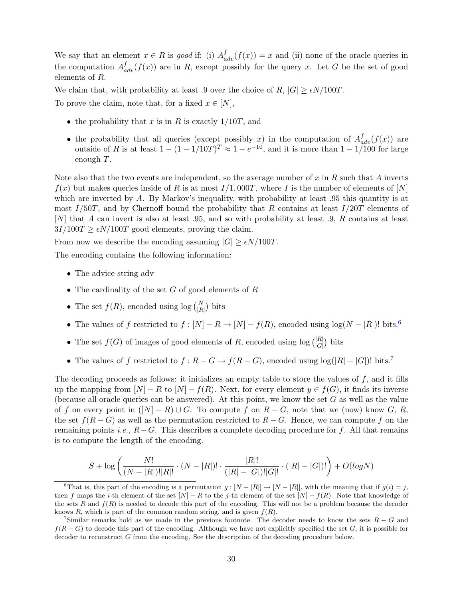We say that an element  $x \in R$  is good if: (i)  $A_{adv}^f(f(x)) = x$  and (ii) none of the oracle queries in the computation  $A_{adv}^{f}(f(x))$  are in R, except possibly for the query x. Let G be the set of good elements of R.

We claim that, with probability at least .9 over the choice of R,  $|G| \geq \epsilon N/100T$ . To prove the claim, note that, for a fixed  $x \in [N]$ ,

- the probability that x is in R is exactly  $1/10T$ , and
- the probability that all queries (except possibly x) in the computation of  $A_{adv}^{f}(f(x))$  are outside of R is at least  $1 - (1 - 1/10T)^T \approx 1 - e^{-10}$ , and it is more than  $1 - 1/100$  for large enough T.

Note also that the two events are independent, so the average number of x in R such that A inverts  $f(x)$  but makes queries inside of R is at most  $I/1,000T$ , where I is the number of elements of [N] which are inverted by  $A$ . By Markov's inequality, with probability at least  $.95$  this quantity is at most  $I/50T$ , and by Chernoff bound the probability that R contains at least  $I/20T$  elements of [N] that A can invert is also at least .95, and so with probability at least .9, R contains at least  $3I/100T \ge \epsilon N/100T$  good elements, proving the claim.

From now we describe the encoding assuming  $|G| \geq \epsilon N/100T$ .

The encoding contains the following information:

- The advice string adv
- The cardinality of the set  $G$  of good elements of  $R$
- The set  $f(R)$ , encoded using  $log\binom{N}{|R|}$  bits
- The values of f restricted to  $f : [N] R \rightarrow [N] f(R)$ , encoded using  $log(N |R|)!$  bits.<sup>[6](#page-30-0)</sup>
- The set  $f(G)$  of images of good elements of R, encoded using  $log\binom{|R|}{|G|}$  bits
- The values of f restricted to  $f : R G \to f(R G)$ , encoded using  $log(|R| |G|)!$  bits.<sup>[7](#page-30-1)</sup>

The decoding proceeds as follows: it initializes an empty table to store the values of  $f$ , and it fills up the mapping from  $[N] - R$  to  $[N] - f(R)$ . Next, for every element  $y \in f(G)$ , it finds its inverse (because all oracle queries can be answered). At this point, we know the set  $G$  as well as the value of f on every point in  $([N] - R) \cup G$ . To compute f on  $R - G$ , note that we (now) know G, R, the set  $f(R - G)$  as well as the permutation restricted to  $R - G$ . Hence, we can compute f on the remaining points *i.e.*,  $R-G$ . This describes a complete decoding procedure for f. All that remains is to compute the length of the encoding.

$$
S + \log \left( \frac{N!}{(N - |R|)!|R|!} \cdot (N - |R|)! \cdot \frac{|R|!}{(|R| - |G|)!|G|!} \cdot (|R| - |G|)! \right) + O(logN)
$$

<span id="page-30-0"></span><sup>&</sup>lt;sup>6</sup>That is, this part of the encoding is a permutation  $g: [N - |R|] \to [N - |R|]$ , with the meaning that if  $g(i) = j$ , then f maps the i-th element of the set  $[N] - R$  to the j-th element of the set  $[N] - f(R)$ . Note that knowledge of the sets R and  $f(R)$  is needed to decode this part of the encoding. This will not be a problem because the decoder knows R, which is part of the common random string, and is given  $f(R)$ .

<span id="page-30-1"></span><sup>&</sup>lt;sup>7</sup>Similar remarks hold as we made in the previous footnote. The decoder needs to know the sets  $R - G$  and  $f(R - G)$  to decode this part of the encoding. Although we have not explicitly specified the set G, it is possible for decoder to reconstruct G from the encoding. See the description of the decoding procedure below.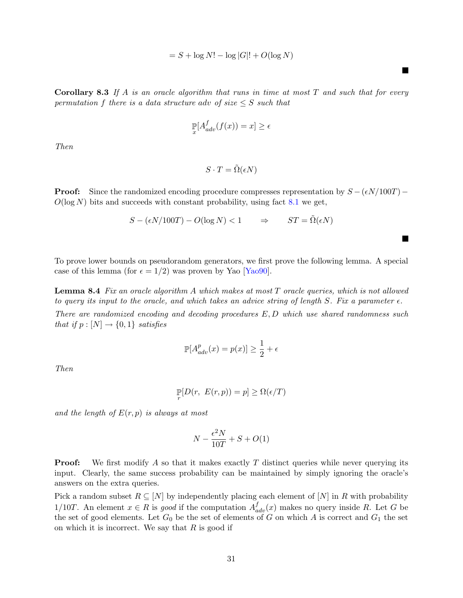$$
= S + \log N! - \log |G|! + O(\log N)
$$

 $\blacksquare$ 

H

<span id="page-31-1"></span>**Corollary 8.3** If A is an oracle algorithm that runs in time at most  $T$  and such that for every permutation f there is a data structure adv of size  $\leq S$  such that

$$
\mathop{\mathbb{P}}_x[A_{adv}^f(f(x)) = x] \ge \epsilon
$$

Then

$$
S \cdot T = \tilde{\Omega}(\epsilon N)
$$

**Proof:** Since the randomized encoding procedure compresses representation by  $S - (\epsilon N/100T)$ −  $O(\log N)$  bits and succeeds with constant probability, using fact [8.1](#page-29-0) we get,

$$
S - (\epsilon N / 100T) - O(\log N) < 1 \qquad \Rightarrow \qquad ST = \Omega(\epsilon N)
$$

To prove lower bounds on pseudorandom generators, we first prove the following lemma. A special case of this lemma (for  $\epsilon = 1/2$ ) was proven by Yao [\[Yao90\]](#page-37-1).

**Lemma 8.4** Fix an oracle algorithm A which makes at most  $T$  oracle queries, which is not allowed to query its input to the oracle, and which takes an advice string of length S. Fix a parameter  $\epsilon$ . There are randomized encoding and decoding procedures E, D which use shared randomness such that if  $p : [N] \rightarrow \{0, 1\}$  satisfies

<span id="page-31-0"></span>
$$
\mathbb{P}[A_{adv}^p(x) = p(x)] \ge \frac{1}{2} + \epsilon
$$

Then

$$
\mathop{\mathbb{P}}_r[D(r, E(r,p)) = p] \ge \Omega(\epsilon/T)
$$

and the length of  $E(r, p)$  is always at most

$$
N - \frac{\epsilon^2 N}{10T} + S + O(1)
$$

**Proof:** We first modify A so that it makes exactly T distinct queries while never querying its input. Clearly, the same success probability can be maintained by simply ignoring the oracle's answers on the extra queries.

Pick a random subset  $R \subseteq [N]$  by independently placing each element of  $[N]$  in R with probability 1/10T. An element  $x \in R$  is good if the computation  $A_{adv}^f(x)$  makes no query inside R. Let G be the set of good elements. Let  $G_0$  be the set of elements of G on which A is correct and  $G_1$  the set on which it is incorrect. We say that  $R$  is good if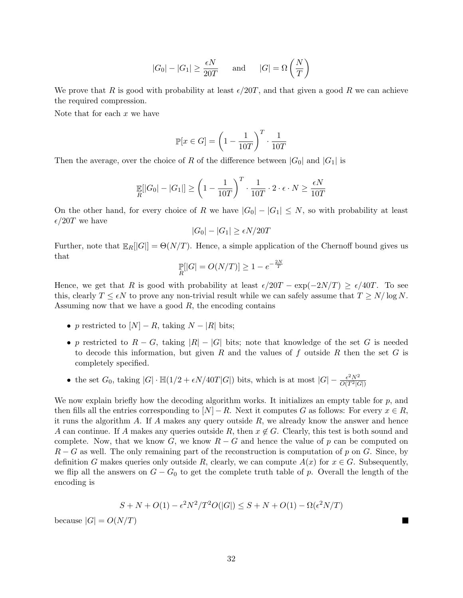$$
|G_0| - |G_1| \ge \frac{\epsilon N}{20T}
$$
 and  $|G| = \Omega\left(\frac{N}{T}\right)$ 

We prove that R is good with probability at least  $\epsilon/20T$ , and that given a good R we can achieve the required compression.

Note that for each  $x$  we have

$$
\mathbb{P}[x \in G] = \left(1 - \frac{1}{10T}\right)^T \cdot \frac{1}{10T}
$$

Then the average, over the choice of R of the difference between  $|G_0|$  and  $|G_1|$  is

$$
\mathop{\mathbb{E}}_R[|G_0| - |G_1|] \ge \left(1 - \frac{1}{10T}\right)^T \cdot \frac{1}{10T} \cdot 2 \cdot \epsilon \cdot N \ge \frac{\epsilon N}{10T}
$$

On the other hand, for every choice of R we have  $|G_0| - |G_1| \leq N$ , so with probability at least  $\epsilon/20T$  we have

$$
|G_0| - |G_1| \ge \epsilon N / 20T
$$

Further, note that  $\mathbb{E}_R[[G]] = \Theta(N/T)$ . Hence, a simple application of the Chernoff bound gives us that

$$
\mathop{\mathbb{P}}_R[|G| = O(N/T)] \ge 1 - e^{-\frac{2N}{T}}
$$

Hence, we get that R is good with probability at least  $\epsilon/20T - \exp(-2N/T) \geq \epsilon/40T$ . To see this, clearly  $T \leq \epsilon N$  to prove any non-trivial result while we can safely assume that  $T \geq N/\log N$ . Assuming now that we have a good  $R$ , the encoding contains

- p restricted to  $[N] R$ , taking  $N |R|$  bits;
- p restricted to  $R G$ , taking  $|R| |G|$  bits; note that knowledge of the set G is needed to decode this information, but given R and the values of f outside R then the set G is completely specified.
- the set  $G_0$ , taking  $|G| \cdot \mathbb{H}(1/2 + \epsilon N/40T|G|)$  bits, which is at most  $|G| \frac{\epsilon^2 N^2}{O(T^2|G|)}$  $\overline{O(T^2|G|)}$

We now explain briefly how the decoding algorithm works. It initializes an empty table for  $p$ , and then fills all the entries corresponding to  $[N] - R$ . Next it computes G as follows: For every  $x \in R$ , it runs the algorithm A. If A makes any query outside  $R$ , we already know the answer and hence A can continue. If A makes any queries outside R, then  $x \notin G$ . Clearly, this test is both sound and complete. Now, that we know G, we know  $R - G$  and hence the value of p can be computed on  $R - G$  as well. The only remaining part of the reconstruction is computation of p on G. Since, by definition G makes queries only outside R, clearly, we can compute  $A(x)$  for  $x \in G$ . Subsequently, we flip all the answers on  $G - G_0$  to get the complete truth table of p. Overall the length of the encoding is

$$
S+N+O(1)-\epsilon^2N^2/T^2O(|G|)\leq S+N+O(1)-\Omega(\epsilon^2N/T)
$$

 $\blacksquare$ 

because  $|G| = O(N/T)$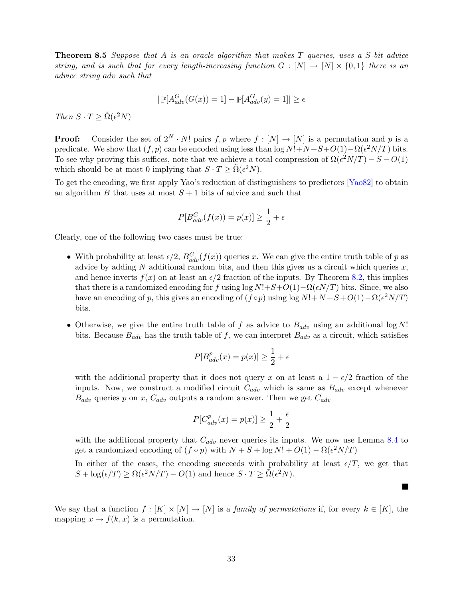<span id="page-33-1"></span>**Theorem 8.5** Suppose that A is an oracle algorithm that makes T queries, uses a S-bit advice string, and is such that for every length-increasing function  $G : [N] \to [N] \times \{0,1\}$  there is an advice string adv such that

$$
|\mathop{\mathbb{P}}[A_{adv}^G(G(x)) = 1] - \mathop{\mathbb{P}}[A_{adv}^G(y) = 1]| \ge \epsilon
$$

Then  $S \cdot T \geq \tilde{\Omega}(\epsilon^2 N)$ 

**Proof:** Consider the set of  $2^N \cdot N!$  pairs  $f, p$  where  $f : [N] \rightarrow [N]$  is a permutation and p is a predicate. We show that  $(f, p)$  can be encoded using less than log  $N! + N + S + O(1) - \Omega(\epsilon^2 N/T)$  bits. To see why proving this suffices, note that we achieve a total compression of  $\Omega(\epsilon^2 N/T) - S - O(1)$ which should be at most 0 implying that  $S \cdot T \ge \tilde{\Omega}(\epsilon^2 N)$ .

To get the encoding, we first apply Yao's reduction of distinguishers to predictors [\[Yao82\]](#page-37-7) to obtain an algorithm B that uses at most  $S + 1$  bits of advice and such that

$$
P[B_{adv}^G(f(x)) = p(x)] \ge \frac{1}{2} + \epsilon
$$

Clearly, one of the following two cases must be true:

- With probability at least  $\epsilon/2$ ,  $B_{adv}^G(f(x))$  queries x. We can give the entire truth table of p as advice by adding N additional random bits, and then this gives us a circuit which queries  $x$ , and hence inverts  $f(x)$  on at least an  $\epsilon/2$  fraction of the inputs. By Theorem [8.2,](#page-29-1) this implies that there is a randomized encoding for f using  $\log N!+S+O(1)-\Omega(\epsilon N/T)$  bits. Since, we also have an encoding of p, this gives an encoding of  $(f \circ p)$  using  $\log N! + N + S + O(1) - \Omega(\epsilon^2 N/T)$ bits.
- Otherwise, we give the entire truth table of f as advice to  $B_{adv}$  using an additional log N! bits. Because  $B_{adv}$  has the truth table of f, we can interpret  $B_{adv}$  as a circuit, which satisfies

$$
P[B_{adv}^p(x) = p(x)] \ge \frac{1}{2} + \epsilon
$$

with the additional property that it does not query x on at least a  $1 - \epsilon/2$  fraction of the inputs. Now, we construct a modified circuit  $C_{adv}$  which is same as  $B_{adv}$  except whenever  $B_{adv}$  queries p on x,  $C_{adv}$  outputs a random answer. Then we get  $C_{adv}$ 

$$
P[C_{adv}^{p}(x) = p(x)] \ge \frac{1}{2} + \frac{\epsilon}{2}
$$

with the additional property that  $C_{adv}$  never queries its inputs. We now use Lemma [8.4](#page-31-0) to get a randomized encoding of  $(f \circ p)$  with  $N + S + \log N! + O(1) - \Omega(\epsilon^2 N/T)$ 

In either of the cases, the encoding succeeds with probability at least  $\epsilon/T$ , we get that  $S + \log(\epsilon/T) \ge \Omega(\epsilon^2 N/T) - O(1)$  and hence  $S \cdot T \ge \tilde{\Omega}(\epsilon^2 N)$ .

 $\blacksquare$ 

<span id="page-33-0"></span>We say that a function  $f : [K] \times [N] \to [N]$  is a *family of permutations* if, for every  $k \in [K]$ , the mapping  $x \to f(k, x)$  is a permutation.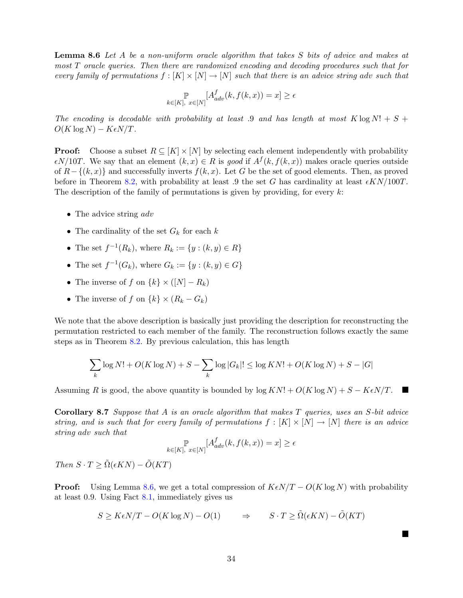Lemma 8.6 Let A be a non-uniform oracle algorithm that takes S bits of advice and makes at most T oracle queries. Then there are randomized encoding and decoding procedures such that for every family of permutations  $f : [K] \times [N] \rightarrow [N]$  such that there is an advice string adv such that

$$
\mathbb{P}_{k \in [K], x \in [N]}[A_{adv}^f(k, f(k, x)) = x] \ge \epsilon
$$

The encoding is decodable with probability at least .9 and has length at most  $K \log N! + S +$  $O(K \log N) - K\epsilon N/T$ .

**Proof:** Choose a subset  $R \subseteq [K] \times [N]$  by selecting each element independently with probability  $\epsilon N/10T$ . We say that an element  $(k, x) \in R$  is good if  $A^f(k, f(k, x))$  makes oracle queries outside of  $R-\{(k,x)\}\$ and successfully inverts  $f(k,x)$ . Let G be the set of good elements. Then, as proved before in Theorem [8.2,](#page-29-1) with probability at least .9 the set G has cardinality at least  $\epsilon K N/100T$ . The description of the family of permutations is given by providing, for every  $k$ :

- The advice string *adv*
- The cardinality of the set  $G_k$  for each k
- The set  $f^{-1}(R_k)$ , where  $R_k := \{y : (k, y) \in R\}$
- The set  $f^{-1}(G_k)$ , where  $G_k := \{y : (k, y) \in G\}$
- The inverse of f on  $\{k\} \times ([N] R_k)$
- The inverse of f on  $\{k\} \times (R_k G_k)$

We note that the above description is basically just providing the description for reconstructing the permutation restricted to each member of the family. The reconstruction follows exactly the same steps as in Theorem [8.2.](#page-29-1) By previous calculation, this has length

$$
\sum_k \log N! + O(K \log N) + S - \sum_k \log |G_k|! \leq \log KN! + O(K \log N) + S - |G|
$$

Assuming R is good, the above quantity is bounded by  $\log KN! + O(K \log N) + S - K\epsilon N/T$ . ш

Corollary 8.7 Suppose that A is an oracle algorithm that makes T queries, uses an S-bit advice string, and is such that for every family of permutations  $f : [K] \times [N] \rightarrow [N]$  there is an advice string adv such that

$$
\mathbb{P}_{k \in [K], x \in [N]}[A_{adv}^f(k, f(k, x)) = x] \ge \epsilon
$$

Then  $S \cdot T \geq \tilde{\Omega}(\epsilon KN) - \tilde{O}(KT)$ 

**Proof:** Using Lemma [8.6,](#page-33-0) we get a total compression of  $K\epsilon N/T - O(K \log N)$  with probability at least 0.9. Using Fact [8.1,](#page-29-0) immediately gives us

$$
S \ge K\epsilon N/T - O(K \log N) - O(1) \qquad \Rightarrow \qquad S \cdot T \ge \tilde{\Omega}(\epsilon KN) - \tilde{O}(KT)
$$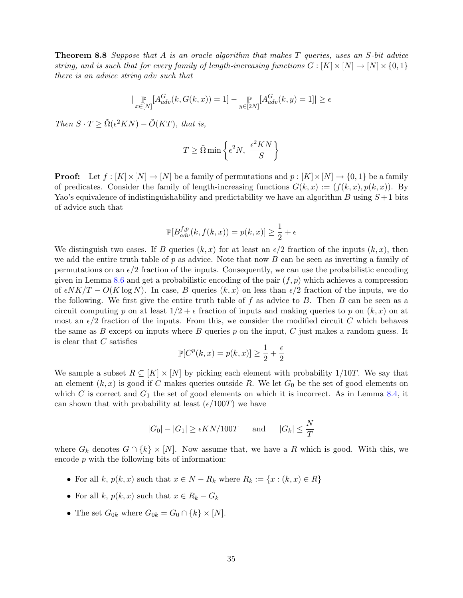**Theorem 8.8** Suppose that A is an oracle algorithm that makes T queries, uses an S-bit advice string, and is such that for every family of length-increasing functions  $G : [K] \times [N] \rightarrow [N] \times \{0,1\}$ there is an advice string adv such that

$$
|\mathop{\mathbb{P}}_{x \in [N]}[A_{adv}^G(k, G(k, x)) = 1] - \mathop{\mathbb{P}}_{y \in [2N]}[A_{adv}^G(k, y) = 1]| \ge \epsilon
$$

Then  $S \cdot T \geq \tilde{\Omega}(\epsilon^2 KN) - \tilde{O}(KT)$ , that is,

$$
T \geq \tilde{\Omega} \min \left\{ \epsilon^2 N, \ \frac{\epsilon^2 KN}{S} \right\}
$$

**Proof:** Let  $f : [K] \times [N] \rightarrow [N]$  be a family of permutations and  $p : [K] \times [N] \rightarrow \{0, 1\}$  be a family of predicates. Consider the family of length-increasing functions  $G(k, x) := (f(k, x), p(k, x))$ . By Yao's equivalence of indistinguishability and predictability we have an algorithm B using  $S+1$  bits of advice such that

$$
\mathbb{P}[B_{adv}^{f,p}(k, f(k, x)) = p(k, x)] \ge \frac{1}{2} + \epsilon
$$

We distinguish two cases. If B queries  $(k, x)$  for at least an  $\epsilon/2$  fraction of the inputs  $(k, x)$ , then we add the entire truth table of  $p$  as advice. Note that now  $B$  can be seen as inverting a family of permutations on an  $\epsilon/2$  fraction of the inputs. Consequently, we can use the probabilistic encoding given in Lemma [8.6](#page-33-0) and get a probabilistic encoding of the pair  $(f, p)$  which achieves a compression of  $\epsilon N K/T - O(K \log N)$ . In case, B queries  $(k, x)$  on less than  $\epsilon/2$  fraction of the inputs, we do the following. We first give the entire truth table of  $f$  as advice to  $B$ . Then  $B$  can be seen as a circuit computing p on at least  $1/2 + \epsilon$  fraction of inputs and making queries to p on  $(k, x)$  on at most an  $\epsilon/2$  fraction of the inputs. From this, we consider the modified circuit C which behaves the same as B except on inputs where B queries  $p$  on the input, C just makes a random guess. It is clear that C satisfies

$$
\mathbb{P}[C^p(k, x) = p(k, x)] \ge \frac{1}{2} + \frac{\epsilon}{2}
$$

We sample a subset  $R \subseteq [K] \times [N]$  by picking each element with probability 1/10T. We say that an element  $(k, x)$  is good if C makes queries outside R. We let  $G_0$  be the set of good elements on which C is correct and  $G_1$  the set of good elements on which it is incorrect. As in Lemma [8.4,](#page-31-0) it can shown that with probability at least  $(\epsilon/100T)$  we have

$$
|G_0| - |G_1| \ge \epsilon KN/100T
$$
 and  $|G_k| \le \frac{N}{T}$ 

where  $G_k$  denotes  $G \cap \{k\} \times [N]$ . Now assume that, we have a R which is good. With this, we encode  $p$  with the following bits of information:

- For all k,  $p(k, x)$  such that  $x \in N R_k$  where  $R_k := \{x : (k, x) \in R\}$
- For all k,  $p(k, x)$  such that  $x \in R_k G_k$
- The set  $G_{0k}$  where  $G_{0k} = G_0 \cap \{k\} \times [N]$ .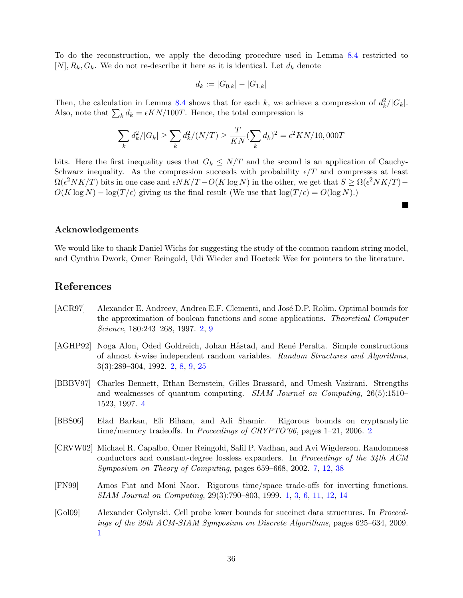To do the reconstruction, we apply the decoding procedure used in Lemma [8.4](#page-31-0) restricted to  $[N], R_k, G_k$ . We do not re-describe it here as it is identical. Let  $d_k$  denote

$$
d_k := |G_{0,k}| - |G_{1,k}|
$$

Then, the calculation in Lemma [8.4](#page-31-0) shows that for each k, we achieve a compression of  $d_k^2/|G_k|$ . Also, note that  $\sum_k d_k = \epsilon K N / 100T$ . Hence, the total compression is

$$
\sum_{k} d_{k}^{2} / |G_{k}| \ge \sum_{k} d_{k}^{2} / (N/T) \ge \frac{T}{KN} (\sum_{k} d_{k})^{2} = \epsilon^{2} KN/10,000T
$$

bits. Here the first inequality uses that  $G_k \leq N/T$  and the second is an application of Cauchy-Schwarz inequality. As the compression succeeds with probability  $\epsilon/T$  and compresses at least  $\Omega(\epsilon^2 N K/T)$  bits in one case and  $\epsilon N K/T - O(K \log N)$  in the other, we get that  $S \ge \Omega(\epsilon^2 N K/T) O(K \log N) - \log(T/\epsilon)$  giving us the final result (We use that  $\log(T/\epsilon) = O(\log N)$ .)

 $\blacksquare$ 

### Acknowledgements

We would like to thank Daniel Wichs for suggesting the study of the common random string model, and Cynthia Dwork, Omer Reingold, Udi Wieder and Hoeteck Wee for pointers to the literature.

## References

- <span id="page-36-4"></span>[ACR97] Alexander E. Andreev, Andrea E.F. Clementi, and José D.P. Rolim. Optimal bounds for the approximation of boolean functions and some applications. Theoretical Computer Science, 180:243–268, 1997. [2,](#page-2-0) [9](#page-9-1)
- <span id="page-36-3"></span>[AGHP92] Noga Alon, Oded Goldreich, Johan Håstad, and René Peralta. Simple constructions of almost k-wise independent random variables. Random Structures and Algorithms, 3(3):289–304, 1992. [2,](#page-2-0) [8,](#page-8-1) [9,](#page-9-1) [25](#page-25-1)
- <span id="page-36-5"></span>[BBBV97] Charles Bennett, Ethan Bernstein, Gilles Brassard, and Umesh Vazirani. Strengths and weaknesses of quantum computing. SIAM Journal on Computing, 26(5):1510– 1523, 1997. [4](#page-4-1)
- <span id="page-36-2"></span>[BBS06] Elad Barkan, Eli Biham, and Adi Shamir. Rigorous bounds on cryptanalytic time/memory tradeoffs. In *Proceedings of CRYPTO'06*, pages 1–[2](#page-2-0)1, 2006. 2
- <span id="page-36-6"></span>[CRVW02] Michael R. Capalbo, Omer Reingold, Salil P. Vadhan, and Avi Wigderson. Randomness conductors and constant-degree lossless expanders. In Proceedings of the 34th ACM Symposium on Theory of Computing, pages 659–668, 2002. [7,](#page-7-1) [12,](#page-12-1) [38](#page-38-0)
- <span id="page-36-0"></span>[FN99] Amos Fiat and Moni Naor. Rigorous time/space trade-offs for inverting functions. SIAM Journal on Computing, 29(3):790–803, 1999. [1,](#page-0-0) [3,](#page-3-0) [6,](#page-6-0) [11,](#page-11-0) [12,](#page-12-1) [14](#page-14-2)
- <span id="page-36-1"></span>[Gol09] Alexander Golynski. Cell probe lower bounds for succinct data structures. In Proceedings of the 20th ACM-SIAM Symposium on Discrete Algorithms, pages 625–634, 2009. [1](#page-0-0)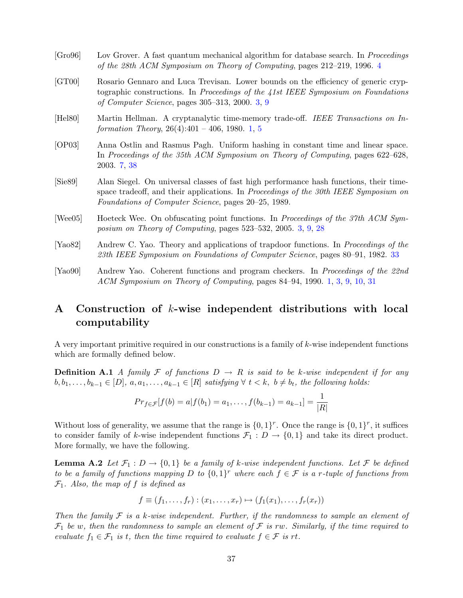<span id="page-37-6"></span><span id="page-37-4"></span><span id="page-37-2"></span><span id="page-37-0"></span>

| [Gro96]              | Lov Grover. A fast quantum mechanical algorithm for database search. In <i>Proceedings</i><br>of the 28th ACM Symposium on Theory of Computing, pages 212–219, 1996. 4                                                                |
|----------------------|---------------------------------------------------------------------------------------------------------------------------------------------------------------------------------------------------------------------------------------|
| [GT00]               | Rosario Gennaro and Luca Trevisan. Lower bounds on the efficiency of generic cryp-<br>tographic constructions. In Proceedings of the 41st IEEE Symposium on Foundations<br>of Computer Science, pages $305-313$ , 2000. 3, 9          |
| [Hel80]              | Martin Hellman. A cryptanalytic time-memory trade-off. IEEE Transactions on In-<br>formation Theory, $26(4):401 - 406$ , 1980. 1, 5                                                                                                   |
| [OP03]               | Anna Ostlin and Rasmus Pagh. Uniform hashing in constant time and linear space.<br>In Proceedings of the 35th ACM Symposium on Theory of Computing, pages 622–628,<br>2003. 7, 38                                                     |
| [Sie89]              | Alan Siegel. On universal classes of fast high performance hash functions, their time-<br>space tradeoff, and their applications. In Proceedings of the 30th IEEE Symposium on<br>Foundations of Computer Science, pages 20–25, 1989. |
| [Wee05]              | Hoeteck Wee. On obfuscating point functions. In Proceedings of the 37th ACM Sym-<br>posium on Theory of Computing, pages $523-532$ , $2005.$ 3, 9, 28                                                                                 |
| [Ya <sub>0</sub> 82] | Andrew C. Yao. Theory and applications of trapdoor functions. In <i>Proceedings of the</i><br>23th IEEE Symposium on Foundations of Computer Science, pages 80–91, 1982. 33                                                           |
|                      |                                                                                                                                                                                                                                       |

<span id="page-37-7"></span><span id="page-37-3"></span><span id="page-37-1"></span>[Yao90] Andrew Yao. Coherent functions and program checkers. In Proceedings of the 22nd ACM Symposium on Theory of Computing, pages 84–94, 1990. [1,](#page-0-0) [3,](#page-3-0) [9,](#page-9-1) [10,](#page-10-0) [31](#page-31-1)

## <span id="page-37-5"></span>A Construction of k-wise independent distributions with local computability

A very important primitive required in our constructions is a family of k-wise independent functions which are formally defined below.

**Definition A.1** A family F of functions  $D \to R$  is said to be k-wise independent if for any  $b, b_1, \ldots, b_{k-1} \in [D], a, a_1, \ldots, a_{k-1} \in [R]$  satisfying  $\forall t \lt k, b \neq b_t$ , the following holds:

<span id="page-37-8"></span>
$$
Pr_{f \in \mathcal{F}}[f(b) = a|f(b_1) = a_1, \ldots, f(b_{k-1}) = a_{k-1}] = \frac{1}{|R|}
$$

Without loss of generality, we assume that the range is  $\{0,1\}^r$ . Once the range is  $\{0,1\}^r$ , it suffices to consider family of k-wise independent functions  $\mathcal{F}_1 : D \to \{0,1\}$  and take its direct product. More formally, we have the following.

**Lemma A.2** Let  $\mathcal{F}_1 : D \to \{0,1\}$  be a family of k-wise independent functions. Let F be defined to be a family of functions mapping D to  $\{0,1\}^r$  where each  $f \in \mathcal{F}$  is a r-tuple of functions from  $\mathcal{F}_1$ . Also, the map of f is defined as

$$
f \equiv (f_1, \ldots, f_r) : (x_1, \ldots, x_r) \mapsto (f_1(x_1), \ldots, f_r(x_r))
$$

Then the family  $\mathcal F$  is a k-wise independent. Further, if the randomness to sample an element of  $\mathcal{F}_1$  be w, then the randomness to sample an element of  $\mathcal F$  is rw. Similarly, if the time required to evaluate  $f_1 \in \mathcal{F}_1$  is t, then the time required to evaluate  $f \in \mathcal{F}$  is rt.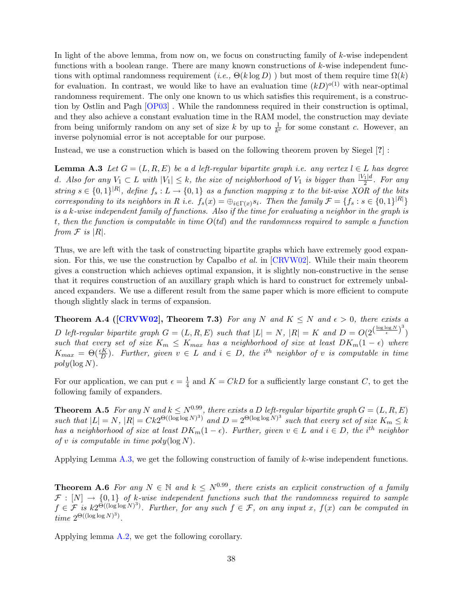<span id="page-38-0"></span>In light of the above lemma, from now on, we focus on constructing family of  $k$ -wise independent functions with a boolean range. There are many known constructions of k-wise independent functions with optimal randomness requirement (i.e.,  $\Theta(k \log D)$ ) but most of them require time  $\Omega(k)$ for evaluation. In contrast, we would like to have an evaluation time  $(kD)^{o(1)}$  with near-optimal randomness requirement. The only one known to us which satisfies this requirement, is a construction by Ostlin and Pagh [\[OP03\]](#page-37-6) . While the randomness required in their construction is optimal, and they also achieve a constant evaluation time in the RAM model, the construction may deviate from being uniformly random on any set of size k by up to  $\frac{1}{k^c}$  for some constant c. However, an inverse polynomial error is not acceptable for our purpose.

<span id="page-38-1"></span>Instead, we use a construction which is based on the following theorem proven by Siegel [?] :

**Lemma A.3** Let  $G = (L, R, E)$  be a d left-regular bipartite graph i.e. any vertex  $l \in L$  has degree d. Also for any  $V_1 \subset L$  with  $|V_1| \leq k$ , the size of neighborhood of  $V_1$  is bigger than  $\frac{|V_1|d}{2}$ . For any string  $s \in \{0,1\}^{|R|}$ , define  $f_s: L \to \{0,1\}$  as a function mapping x to the bit-wise XOR of the bits corresponding to its neighbors in R i.e.  $f_s(x) = \bigoplus_{i \in \Gamma(x)} s_i$ . Then the family  $\mathcal{F} = \{f_s : s \in \{0,1\}^{|R|}\}\$ is a k-wise independent family of functions. Also if the time for evaluating a neighbor in the graph is t, then the function is computable in time  $O(t_d)$  and the randomness required to sample a function from  $\mathcal F$  is  $|R|$ .

Thus, we are left with the task of constructing bipartite graphs which have extremely good expansion. For this, we use the construction by Capalbo *et al.* in  $[CRVW02]$ . While their main theorem gives a construction which achieves optimal expansion, it is slightly non-constructive in the sense that it requires construction of an auxillary graph which is hard to construct for extremely unbalanced expanders. We use a different result from the same paper which is more efficient to compute though slightly slack in terms of expansion.

**Theorem A.4 ([\[CRVW02\]](#page-36-6), Theorem 7.3)** For any N and  $K \leq N$  and  $\epsilon > 0$ , there exists a D left-regular bipartite graph  $G = (L, R, E)$  such that  $|L| = N$ ,  $|R| = K$  and  $D = O(2^{\left(\frac{\log \log N}{\epsilon}\right)^3})$ such that every set of size  $K_m \leq K_{max}$  has a neighborhood of size at least  $DK_m(1 - \epsilon)$  where  $K_{max} = \Theta(\frac{\epsilon K}{D})$ . Further, given  $v \in L$  and  $i \in D$ , the i<sup>th</sup> neighbor of v is computable in time  $poly(\log N)$ .

For our application, we can put  $\epsilon = \frac{1}{4}$  $\frac{1}{4}$  and  $K = CkD$  for a sufficiently large constant C, to get the following family of expanders.

**Theorem A.5** For any N and  $k \le N^{0.99}$ , there exists a D left-regular bipartite graph  $G = (L, R, E)$ such that  $|L| = N$ ,  $|R| = Ck2^{\Theta((\log \log N)^3)}$  and  $D = 2^{\Theta(\log \log N)^3}$  such that every set of size  $K_m \leq k$ has a neighborhood of size at least  $DK_m(1-\epsilon)$ . Further, given  $v \in L$  and  $i \in D$ , the i<sup>th</sup> neighbor of v is computable in time  $poly(\log N)$ .

Applying Lemma [A.3,](#page-38-1) we get the following construction of family of k-wise independent functions.

**Theorem A.6** For any  $N \in \mathbb{N}$  and  $k \leq N^{0.99}$ , there exists an explicit construction of a family  $\mathcal{F}: [N] \to \{0,1\}$  of k-wise independent functions such that the randomness required to sample  $f \in \mathcal{F}$  is  $k2^{\Theta((\log \log N)^3)}$ . Further, for any such  $f \in \mathcal{F}$ , on any input x,  $f(x)$  can be computed in time  $2^{\Theta((\log \log N)^3)}$ .

<span id="page-38-2"></span>Applying lemma [A.2,](#page-37-8) we get the following corollary.